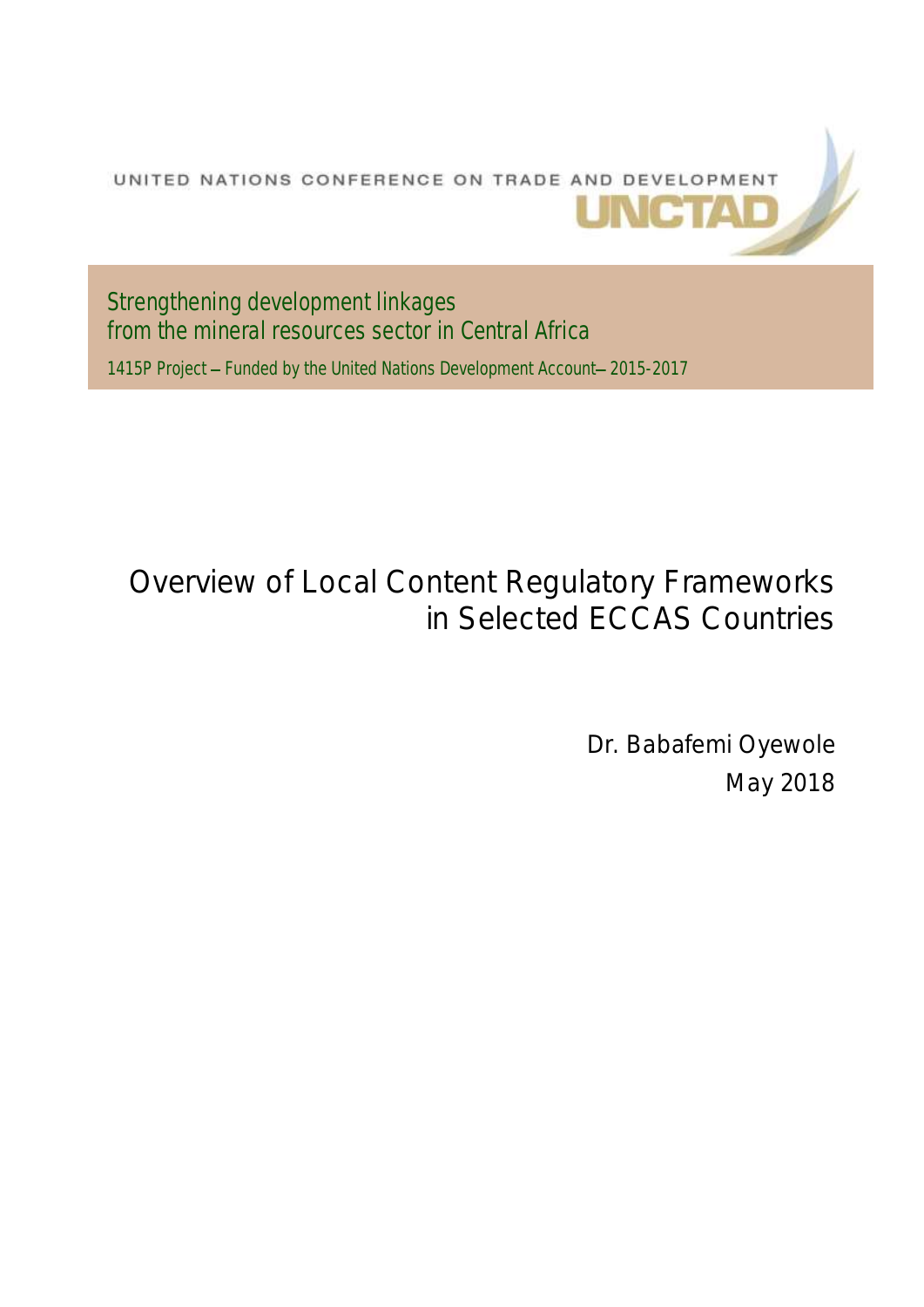

Strengthening development linkages from the mineral resources sector in Central Africa 1415P Project - Funded by the United Nations Development Account-2015-2017

# Overview of Local Content Regulatory Frameworks in Selected ECCAS Countries

Dr. Babafemi Oyewole May 2018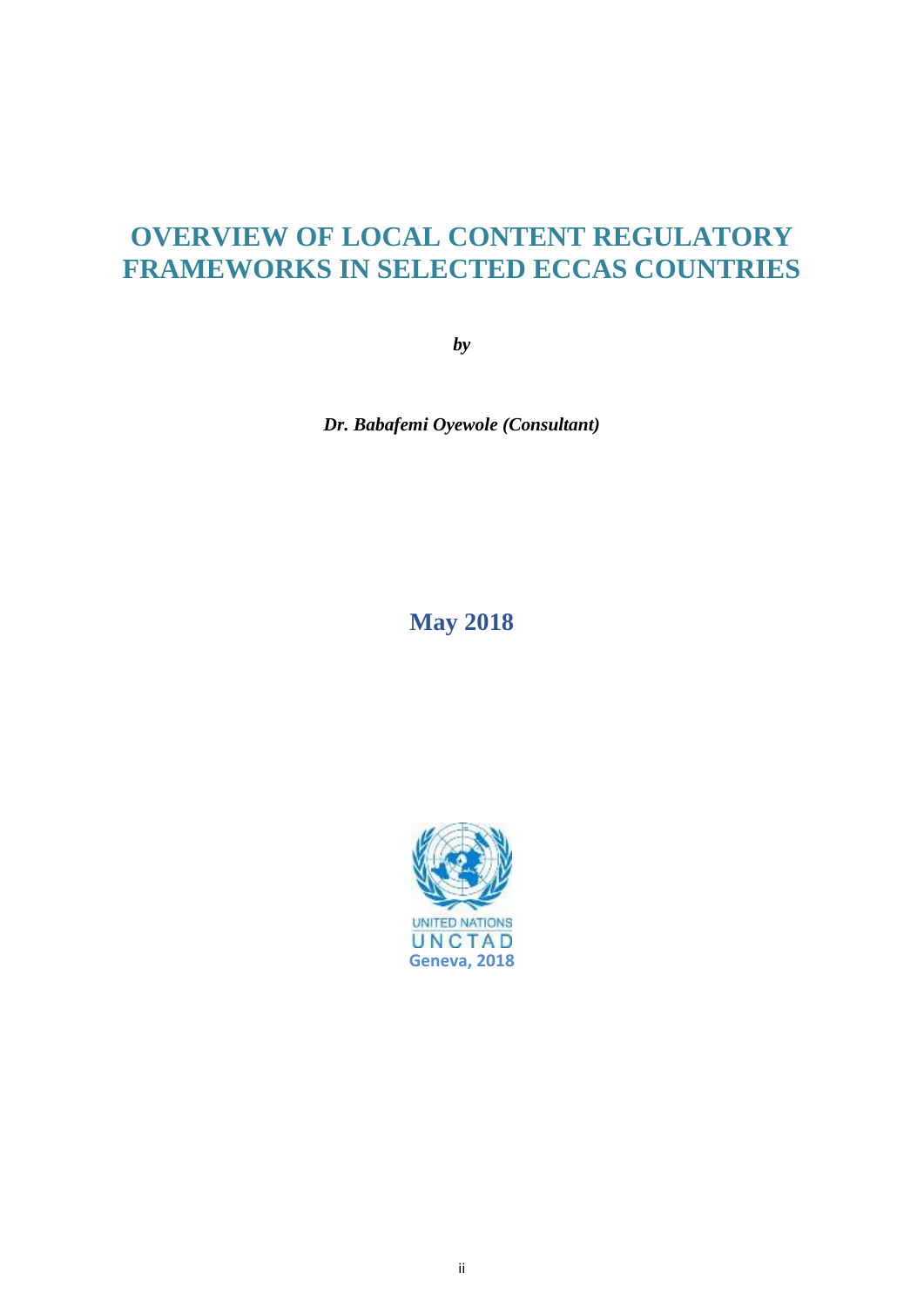# **OVERVIEW OF LOCAL CONTENT REGULATORY FRAMEWORKS IN SELECTED ECCAS COUNTRIES**

*by*

*Dr. Babafemi Oyewole (Consultant)*

### **May 2018**

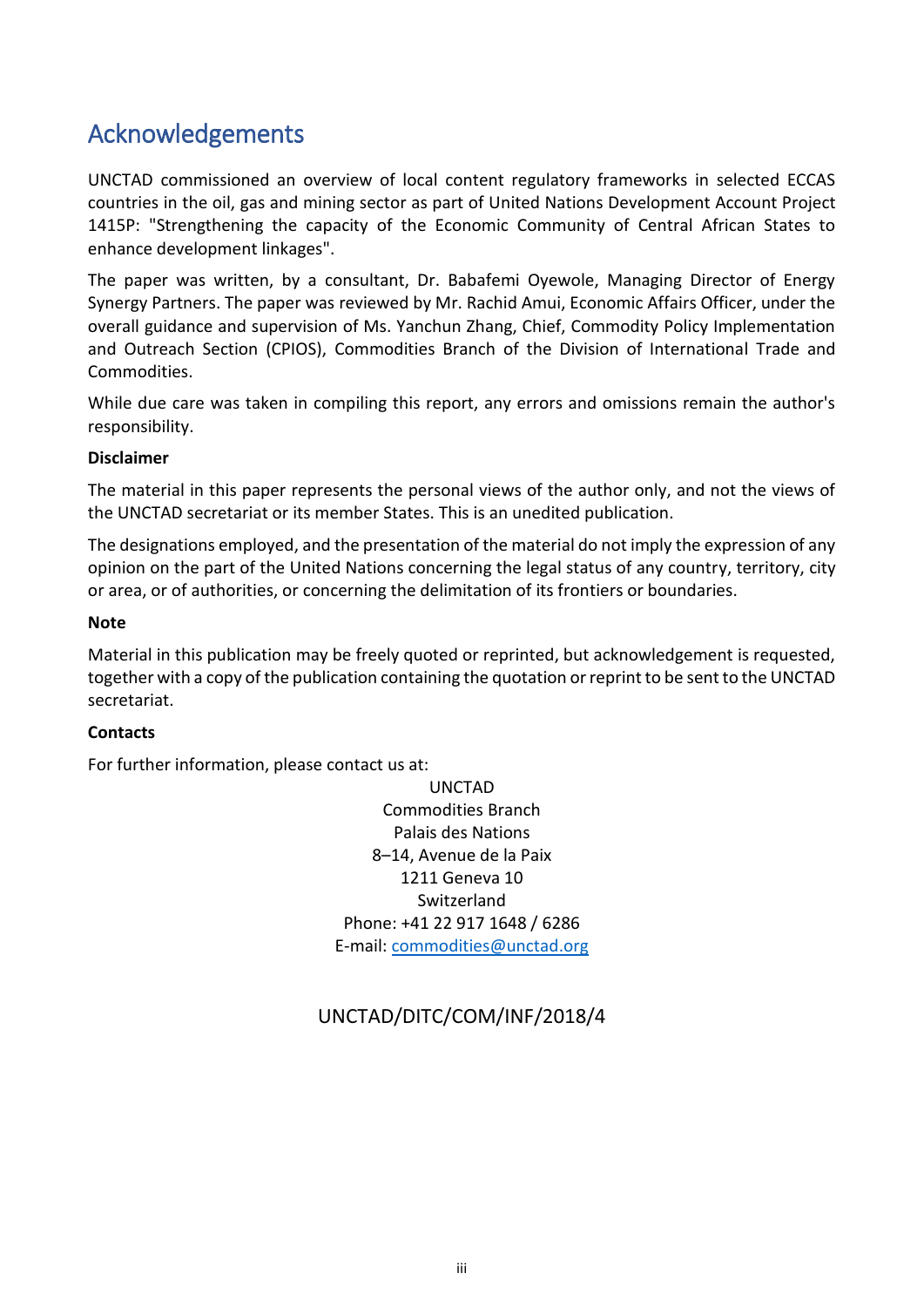## <span id="page-2-0"></span>Acknowledgements

UNCTAD commissioned an overview of local content regulatory frameworks in selected ECCAS countries in the oil, gas and mining sector as part of United Nations Development Account Project 1415P: "Strengthening the capacity of the Economic Community of Central African States to enhance development linkages".

The paper was written, by a consultant, Dr. Babafemi Oyewole, Managing Director of Energy Synergy Partners. The paper was reviewed by Mr. Rachid Amui, Economic Affairs Officer, under the overall guidance and supervision of Ms. Yanchun Zhang, Chief, Commodity Policy Implementation and Outreach Section (CPIOS), Commodities Branch of the Division of International Trade and Commodities.

While due care was taken in compiling this report, any errors and omissions remain the author's responsibility.

#### **Disclaimer**

The material in this paper represents the personal views of the author only, and not the views of the UNCTAD secretariat or its member States. This is an unedited publication.

The designations employed, and the presentation of the material do not imply the expression of any opinion on the part of the United Nations concerning the legal status of any country, territory, city or area, or of authorities, or concerning the delimitation of its frontiers or boundaries.

#### **Note**

Material in this publication may be freely quoted or reprinted, but acknowledgement is requested, together with a copy of the publication containing the quotation or reprint to be sent to the UNCTAD secretariat.

#### **Contacts**

For further information, please contact us at:

UNCTAD Commodities Branch Palais des Nations 8–14, Avenue de la Paix 1211 Geneva 10 Switzerland Phone: +41 22 917 1648 / 6286 E-mail: [commodities@unctad.org](mailto:commodities@unctad.org)

### UNCTAD/DITC/COM/INF/2018/4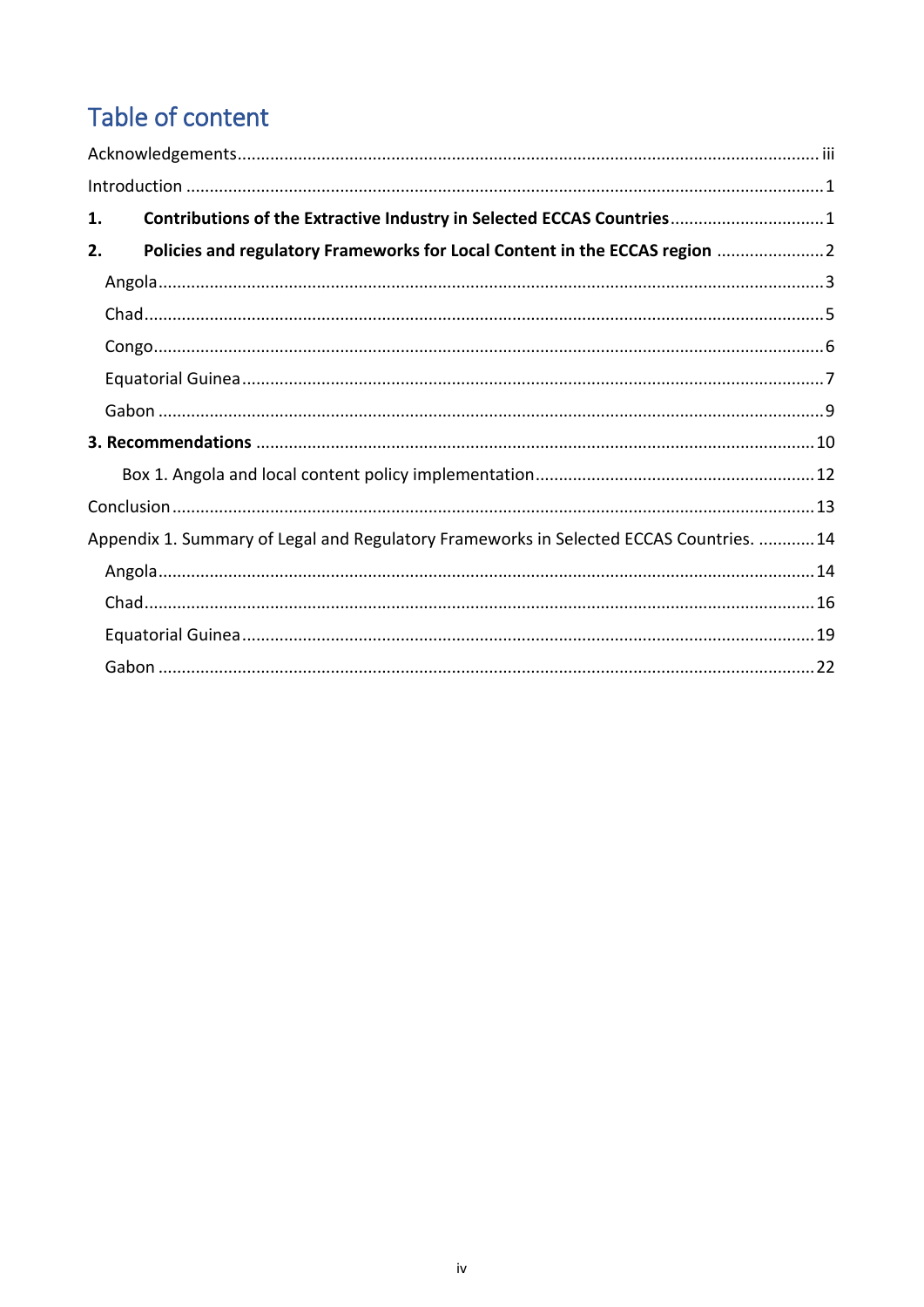# Table of content

| 1. | Contributions of the Extractive Industry in Selected ECCAS Countries 1                 |  |
|----|----------------------------------------------------------------------------------------|--|
| 2. | Policies and regulatory Frameworks for Local Content in the ECCAS region               |  |
|    |                                                                                        |  |
|    |                                                                                        |  |
|    |                                                                                        |  |
|    |                                                                                        |  |
|    |                                                                                        |  |
|    |                                                                                        |  |
|    |                                                                                        |  |
|    |                                                                                        |  |
|    | Appendix 1. Summary of Legal and Regulatory Frameworks in Selected ECCAS Countries. 14 |  |
|    |                                                                                        |  |
|    |                                                                                        |  |
|    |                                                                                        |  |
|    |                                                                                        |  |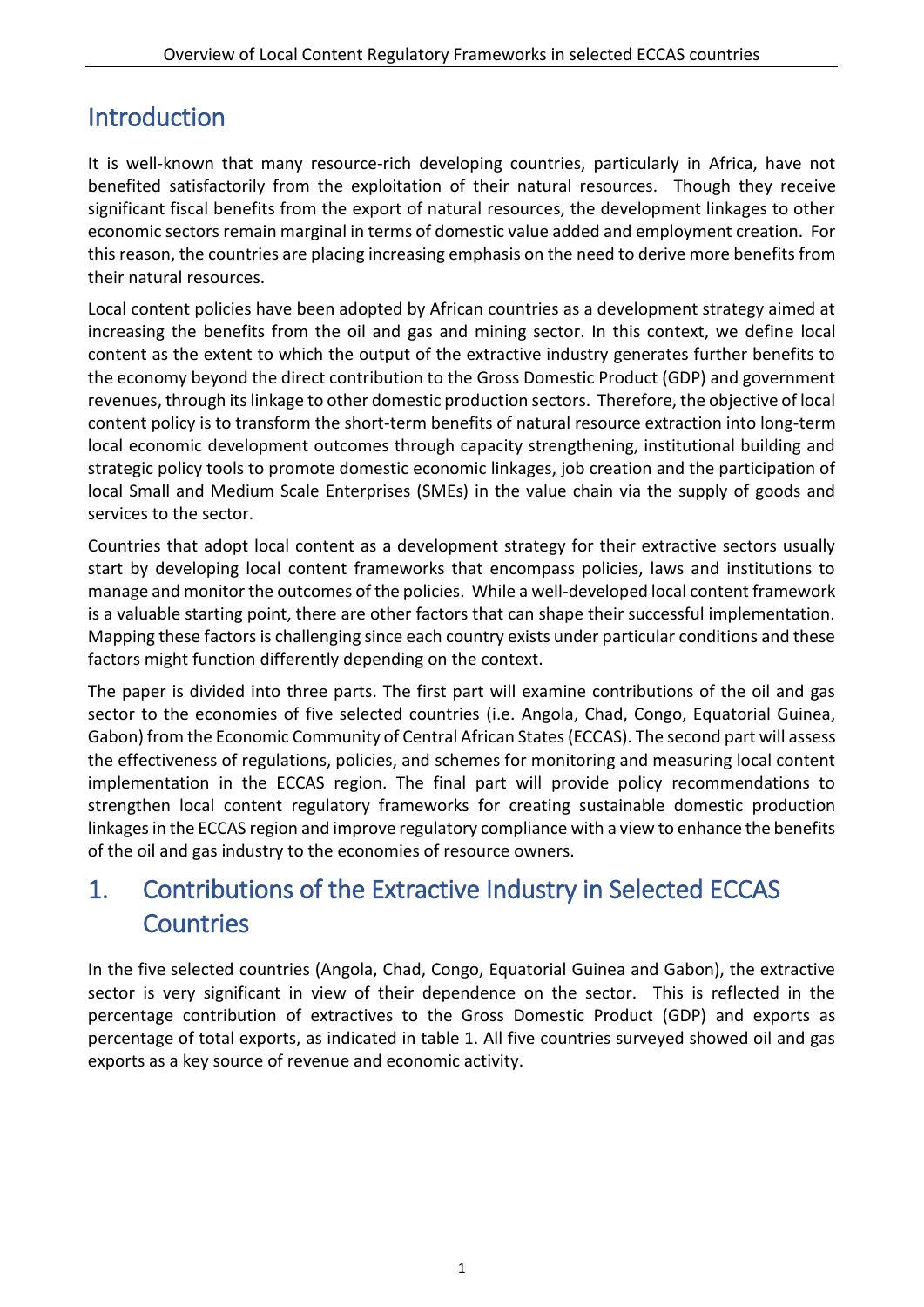# <span id="page-4-0"></span>Introduction

It is well-known that many resource-rich developing countries, particularly in Africa, have not benefited satisfactorily from the exploitation of their natural resources. Though they receive significant fiscal benefits from the export of natural resources, the development linkages to other economic sectors remain marginal in terms of domestic value added and employment creation. For this reason, the countries are placing increasing emphasis on the need to derive more benefits from their natural resources.

Local content policies have been adopted by African countries as a development strategy aimed at increasing the benefits from the oil and gas and mining sector. In this context, we define local content as the extent to which the output of the extractive industry generates further benefits to the economy beyond the direct contribution to the Gross Domestic Product (GDP) and government revenues, through its linkage to other domestic production sectors. Therefore, the objective of local content policy is to transform the short-term benefits of natural resource extraction into long-term local economic development outcomes through capacity strengthening, institutional building and strategic policy tools to promote domestic economic linkages, job creation and the participation of local Small and Medium Scale Enterprises (SMEs) in the value chain via the supply of goods and services to the sector.

Countries that adopt local content as a development strategy for their extractive sectors usually start by developing local content frameworks that encompass policies, laws and institutions to manage and monitor the outcomes of the policies. While a well-developed local content framework is a valuable starting point, there are other factors that can shape their successful implementation. Mapping these factors is challenging since each country exists under particular conditions and these factors might function differently depending on the context.

The paper is divided into three parts. The first part will examine contributions of the oil and gas sector to the economies of five selected countries (i.e. Angola, Chad, Congo, Equatorial Guinea, Gabon) from the Economic Community of Central African States (ECCAS). The second part will assess the effectiveness of regulations, policies, and schemes for monitoring and measuring local content implementation in the ECCAS region. The final part will provide policy recommendations to strengthen local content regulatory frameworks for creating sustainable domestic production linkages in the ECCAS region and improve regulatory compliance with a view to enhance the benefits of the oil and gas industry to the economies of resource owners.

# <span id="page-4-1"></span>1. Contributions of the Extractive Industry in Selected ECCAS **Countries**

In the five selected countries (Angola, Chad, Congo, Equatorial Guinea and Gabon), the extractive sector is very significant in view of their dependence on the sector. This is reflected in the percentage contribution of extractives to the Gross Domestic Product (GDP) and exports as percentage of total exports, as indicated in table 1. All five countries surveyed showed oil and gas exports as a key source of revenue and economic activity.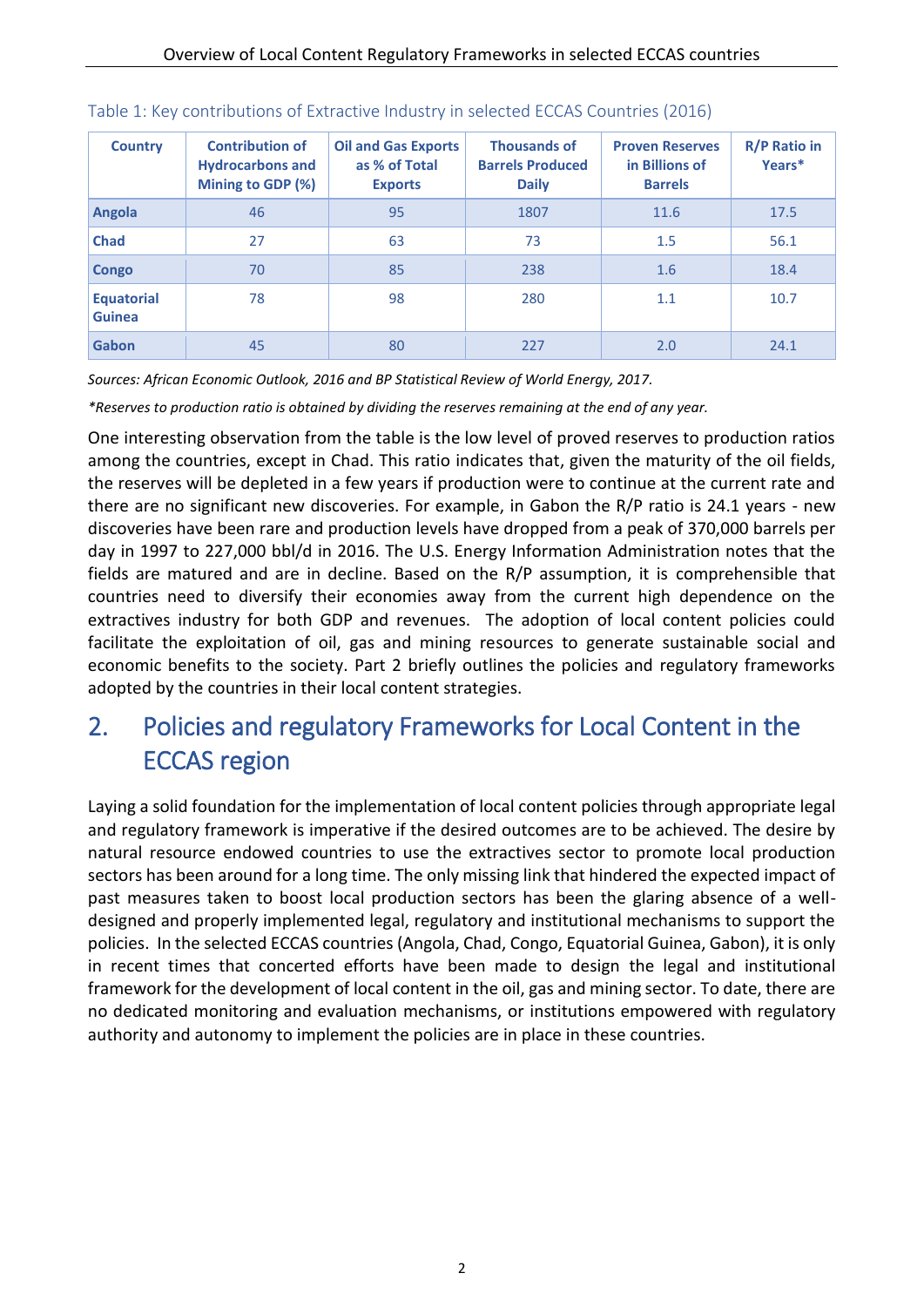| <b>Country</b>                     | <b>Contribution of</b><br><b>Hydrocarbons and</b><br>Mining to GDP (%) | <b>Oil and Gas Exports</b><br>as % of Total<br><b>Exports</b> | <b>Thousands of</b><br><b>Barrels Produced</b><br><b>Daily</b> | <b>Proven Reserves</b><br>in Billions of<br><b>Barrels</b> | <b>R/P Ratio in</b><br>Years* |
|------------------------------------|------------------------------------------------------------------------|---------------------------------------------------------------|----------------------------------------------------------------|------------------------------------------------------------|-------------------------------|
| Angola                             | 46                                                                     | 95                                                            | 1807                                                           | 11.6                                                       | 17.5                          |
| <b>Chad</b>                        | 27                                                                     | 63                                                            | 73                                                             | 1.5                                                        | 56.1                          |
| Congo                              | 70                                                                     | 85                                                            | 238                                                            | 1.6                                                        | 18.4                          |
| <b>Equatorial</b><br><b>Guinea</b> | 78                                                                     | 98                                                            | 280                                                            | 1.1                                                        | 10.7                          |
| Gabon                              | 45                                                                     | 80                                                            | 227                                                            | 2.0                                                        | 24.1                          |

#### Table 1: Key contributions of Extractive Industry in selected ECCAS Countries (2016)

*Sources: African Economic Outlook, 2016 and BP Statistical Review of World Energy, 2017.*

*\*Reserves to production ratio is obtained by dividing the reserves remaining at the end of any year.*

One interesting observation from the table is the low level of proved reserves to production ratios among the countries, except in Chad. This ratio indicates that, given the maturity of the oil fields, the reserves will be depleted in a few years if production were to continue at the current rate and there are no significant new discoveries. For example, in Gabon the R/P ratio is 24.1 years - new discoveries have been rare and production levels have dropped from a peak of 370,000 barrels per day in 1997 to 227,000 bbl/d in 2016. The U.S. Energy Information Administration notes that the fields are matured and are in decline. Based on the R/P assumption, it is comprehensible that countries need to diversify their economies away from the current high dependence on the extractives industry for both GDP and revenues. The adoption of local content policies could facilitate the exploitation of oil, gas and mining resources to generate sustainable social and economic benefits to the society. Part 2 briefly outlines the policies and regulatory frameworks adopted by the countries in their local content strategies.

# <span id="page-5-0"></span>2. Policies and regulatory Frameworks for Local Content in the ECCAS region

Laying a solid foundation for the implementation of local content policies through appropriate legal and regulatory framework is imperative if the desired outcomes are to be achieved. The desire by natural resource endowed countries to use the extractives sector to promote local production sectors has been around for a long time. The only missing link that hindered the expected impact of past measures taken to boost local production sectors has been the glaring absence of a welldesigned and properly implemented legal, regulatory and institutional mechanisms to support the policies. In the selected ECCAS countries (Angola, Chad, Congo, Equatorial Guinea, Gabon), it is only in recent times that concerted efforts have been made to design the legal and institutional framework for the development of local content in the oil, gas and mining sector. To date, there are no dedicated monitoring and evaluation mechanisms, or institutions empowered with regulatory authority and autonomy to implement the policies are in place in these countries.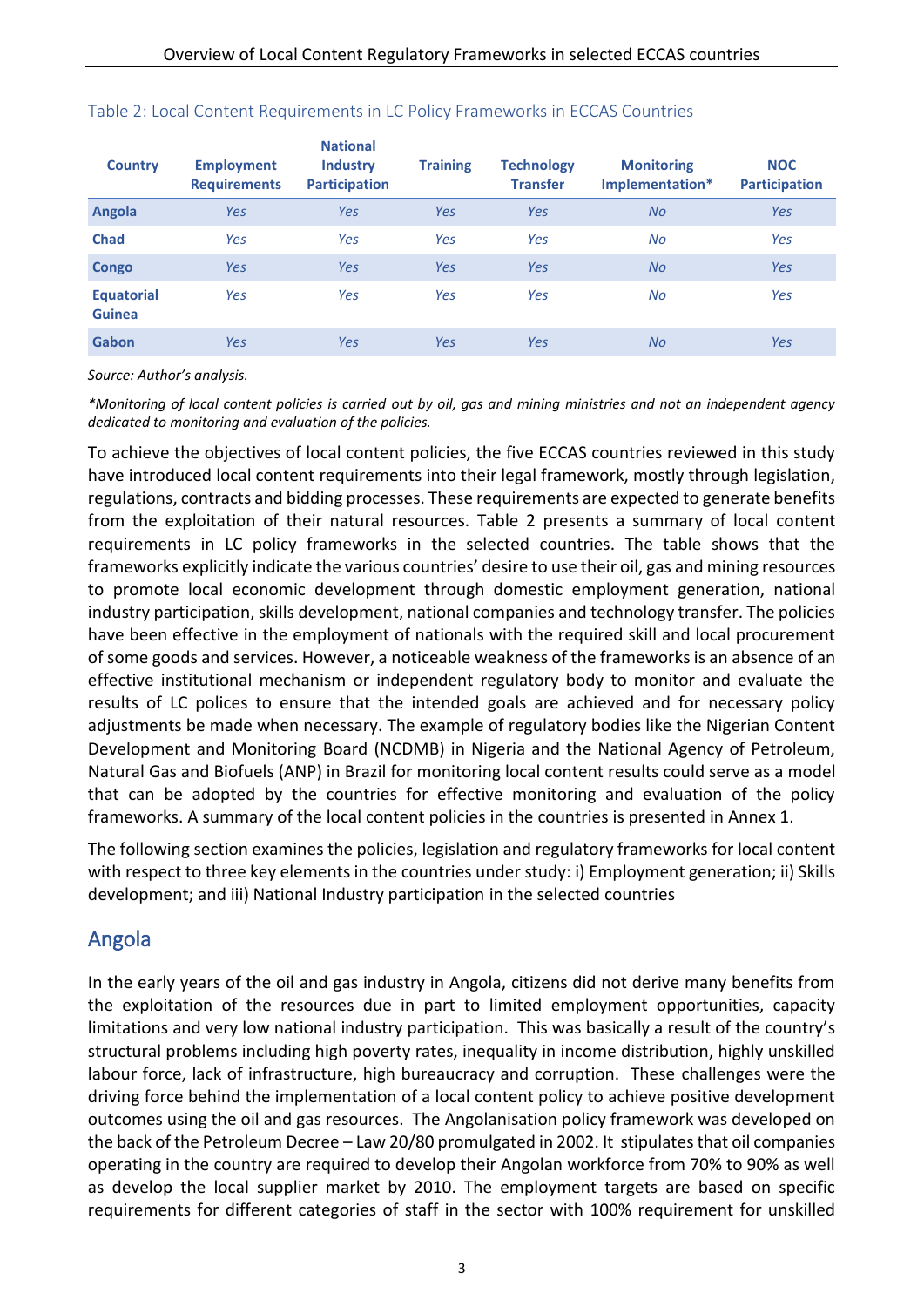| <b>Country</b>                     | <b>Employment</b><br><b>Requirements</b> | <b>National</b><br><b>Industry</b><br><b>Participation</b> | <b>Training</b> | <b>Technology</b><br><b>Transfer</b> | <b>Monitoring</b><br>Implementation* | <b>NOC</b><br><b>Participation</b> |
|------------------------------------|------------------------------------------|------------------------------------------------------------|-----------------|--------------------------------------|--------------------------------------|------------------------------------|
| Angola                             | Yes                                      | Yes                                                        | Yes             | Yes                                  | <b>No</b>                            | <b>Yes</b>                         |
| <b>Chad</b>                        | Yes                                      | Yes                                                        | Yes             | Yes                                  | No                                   | Yes                                |
| <b>Congo</b>                       | Yes                                      | Yes                                                        | Yes             | Yes                                  | <b>No</b>                            | <b>Yes</b>                         |
| <b>Equatorial</b><br><b>Guinea</b> | Yes                                      | Yes                                                        | Yes             | Yes                                  | <b>No</b>                            | Yes                                |
| Gabon                              | Yes                                      | Yes                                                        | Yes             | Yes                                  | <b>No</b>                            | Yes                                |

#### Table 2: Local Content Requirements in LC Policy Frameworks in ECCAS Countries

*Source: Author's analysis.*

*\*Monitoring of local content policies is carried out by oil, gas and mining ministries and not an independent agency dedicated to monitoring and evaluation of the policies.*

To achieve the objectives of local content policies, the five ECCAS countries reviewed in this study have introduced local content requirements into their legal framework, mostly through legislation, regulations, contracts and bidding processes. These requirements are expected to generate benefits from the exploitation of their natural resources. Table 2 presents a summary of local content requirements in LC policy frameworks in the selected countries. The table shows that the frameworks explicitly indicate the various countries' desire to use their oil, gas and mining resources to promote local economic development through domestic employment generation, national industry participation, skills development, national companies and technology transfer. The policies have been effective in the employment of nationals with the required skill and local procurement of some goods and services. However, a noticeable weakness of the frameworks is an absence of an effective institutional mechanism or independent regulatory body to monitor and evaluate the results of LC polices to ensure that the intended goals are achieved and for necessary policy adjustments be made when necessary. The example of regulatory bodies like the Nigerian Content Development and Monitoring Board (NCDMB) in Nigeria and the National Agency of Petroleum, Natural Gas and Biofuels (ANP) in Brazil for monitoring local content results could serve as a model that can be adopted by the countries for effective monitoring and evaluation of the policy frameworks. A summary of the local content policies in the countries is presented in Annex 1.

The following section examines the policies, legislation and regulatory frameworks for local content with respect to three key elements in the countries under study: i) Employment generation; ii) Skills development; and iii) National Industry participation in the selected countries

### <span id="page-6-0"></span>Angola

In the early years of the oil and gas industry in Angola, citizens did not derive many benefits from the exploitation of the resources due in part to limited employment opportunities, capacity limitations and very low national industry participation. This was basically a result of the country's structural problems including high poverty rates, inequality in income distribution, highly unskilled labour force, lack of infrastructure, high bureaucracy and corruption. These challenges were the driving force behind the implementation of a local content policy to achieve positive development outcomes using the oil and gas resources. The Angolanisation policy framework was developed on the back of the Petroleum Decree – Law 20/80 promulgated in 2002. It stipulates that oil companies operating in the country are required to develop their Angolan workforce from 70% to 90% as well as develop the local supplier market by 2010. The employment targets are based on specific requirements for different categories of staff in the sector with 100% requirement for unskilled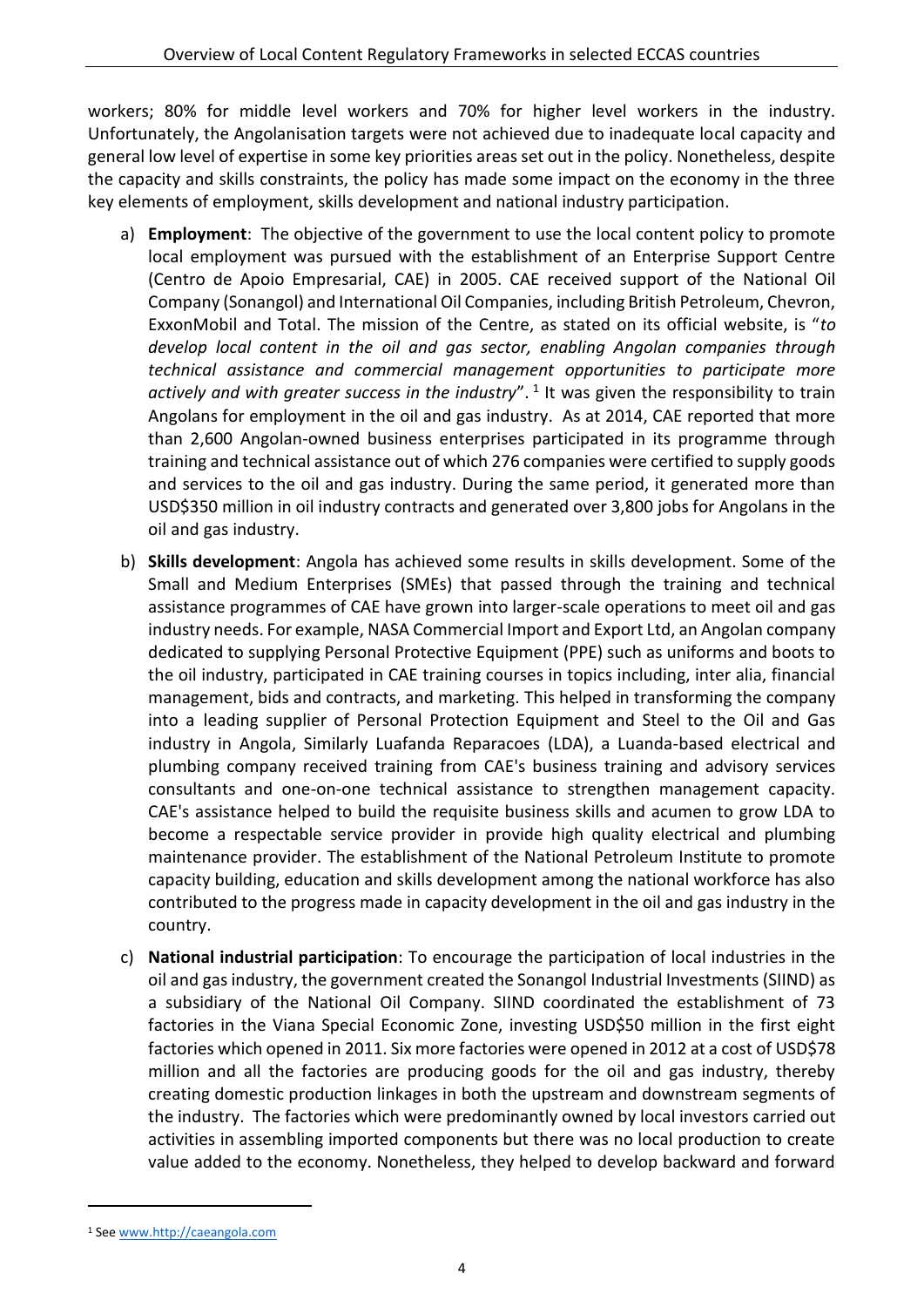workers; 80% for middle level workers and 70% for higher level workers in the industry. Unfortunately, the Angolanisation targets were not achieved due to inadequate local capacity and general low level of expertise in some key priorities areas set out in the policy. Nonetheless, despite the capacity and skills constraints, the policy has made some impact on the economy in the three key elements of employment, skills development and national industry participation.

- a) **Employment**: The objective of the government to use the local content policy to promote local employment was pursued with the establishment of an Enterprise Support Centre (Centro de Apoio Empresarial, CAE) in 2005. CAE received support of the National Oil Company (Sonangol) and International Oil Companies, including British Petroleum, Chevron, ExxonMobil and Total. The mission of the Centre, as stated on its official website, is "*to develop local content in the oil and gas sector, enabling Angolan companies through technical assistance and commercial management opportunities to participate more*  actively and with greater success in the industry".<sup>1</sup> It was given the responsibility to train Angolans for employment in the oil and gas industry. As at 2014, CAE reported that more than 2,600 Angolan-owned business enterprises participated in its programme through training and technical assistance out of which 276 companies were certified to supply goods and services to the oil and gas industry. During the same period, it generated more than USD\$350 million in oil industry contracts and generated over 3,800 jobs for Angolans in the oil and gas industry.
- b) **Skills development**: Angola has achieved some results in skills development. Some of the Small and Medium Enterprises (SMEs) that passed through the training and technical assistance programmes of CAE have grown into larger-scale operations to meet oil and gas industry needs. For example, NASA Commercial Import and Export Ltd, an Angolan company dedicated to supplying Personal Protective Equipment (PPE) such as uniforms and boots to the oil industry, participated in CAE training courses in topics including, inter alia, financial management, bids and contracts, and marketing. This helped in transforming the company into a leading supplier of Personal Protection Equipment and Steel to the Oil and Gas industry in Angola, Similarly Luafanda Reparacoes (LDA), a Luanda-based electrical and plumbing company received training from CAE's business training and advisory services consultants and one-on-one technical assistance to strengthen management capacity. CAE's assistance helped to build the requisite business skills and acumen to grow LDA to become a respectable service provider in provide high quality electrical and plumbing maintenance provider. The establishment of the National Petroleum Institute to promote capacity building, education and skills development among the national workforce has also contributed to the progress made in capacity development in the oil and gas industry in the country.
- c) **National industrial participation**: To encourage the participation of local industries in the oil and gas industry, the government created the Sonangol Industrial Investments (SIIND) as a subsidiary of the National Oil Company. SIIND coordinated the establishment of 73 factories in the Viana Special Economic Zone, investing USD\$50 million in the first eight factories which opened in 2011. Six more factories were opened in 2012 at a cost of USD\$78 million and all the factories are producing goods for the oil and gas industry, thereby creating domestic production linkages in both the upstream and downstream segments of the industry. The factories which were predominantly owned by local investors carried out activities in assembling imported components but there was no local production to create value added to the economy. Nonetheless, they helped to develop backward and forward

-

<sup>1</sup> See [www.http://caeangola.com](http://www.http/caeangola.com)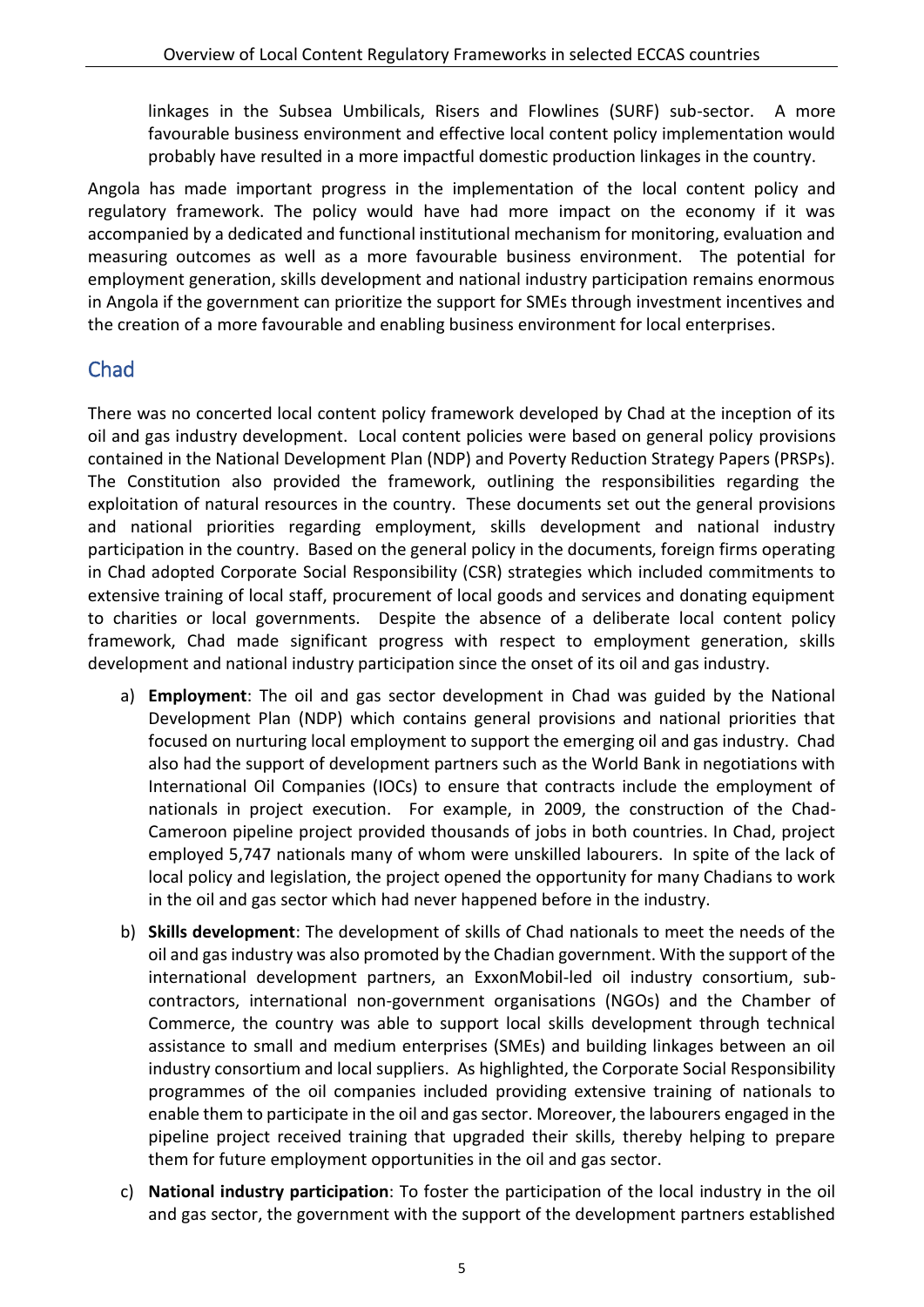linkages in the Subsea Umbilicals, Risers and Flowlines (SURF) sub-sector. A more favourable business environment and effective local content policy implementation would probably have resulted in a more impactful domestic production linkages in the country.

Angola has made important progress in the implementation of the local content policy and regulatory framework. The policy would have had more impact on the economy if it was accompanied by a dedicated and functional institutional mechanism for monitoring, evaluation and measuring outcomes as well as a more favourable business environment. The potential for employment generation, skills development and national industry participation remains enormous in Angola if the government can prioritize the support for SMEs through investment incentives and the creation of a more favourable and enabling business environment for local enterprises.

### <span id="page-8-0"></span>Chad

There was no concerted local content policy framework developed by Chad at the inception of its oil and gas industry development. Local content policies were based on general policy provisions contained in the National Development Plan (NDP) and Poverty Reduction Strategy Papers (PRSPs). The Constitution also provided the framework, outlining the responsibilities regarding the exploitation of natural resources in the country. These documents set out the general provisions and national priorities regarding employment, skills development and national industry participation in the country. Based on the general policy in the documents, foreign firms operating in Chad adopted Corporate Social Responsibility (CSR) strategies which included commitments to extensive training of local staff, procurement of local goods and services and donating equipment to charities or local governments. Despite the absence of a deliberate local content policy framework, Chad made significant progress with respect to employment generation, skills development and national industry participation since the onset of its oil and gas industry.

- a) **Employment**: The oil and gas sector development in Chad was guided by the National Development Plan (NDP) which contains general provisions and national priorities that focused on nurturing local employment to support the emerging oil and gas industry. Chad also had the support of development partners such as the World Bank in negotiations with International Oil Companies (IOCs) to ensure that contracts include the employment of nationals in project execution. For example, in 2009, the construction of the Chad-Cameroon pipeline project provided thousands of jobs in both countries. In Chad, project employed 5,747 nationals many of whom were unskilled labourers. In spite of the lack of local policy and legislation, the project opened the opportunity for many Chadians to work in the oil and gas sector which had never happened before in the industry.
- b) **Skills development**: The development of skills of Chad nationals to meet the needs of the oil and gas industry was also promoted by the Chadian government. With the support of the international development partners, an ExxonMobil-led oil industry consortium, subcontractors, international non-government organisations (NGOs) and the Chamber of Commerce, the country was able to support local skills development through technical assistance to small and medium enterprises (SMEs) and building linkages between an oil industry consortium and local suppliers. As highlighted, the Corporate Social Responsibility programmes of the oil companies included providing extensive training of nationals to enable them to participate in the oil and gas sector. Moreover, the labourers engaged in the pipeline project received training that upgraded their skills, thereby helping to prepare them for future employment opportunities in the oil and gas sector.
- c) **National industry participation**: To foster the participation of the local industry in the oil and gas sector, the government with the support of the development partners established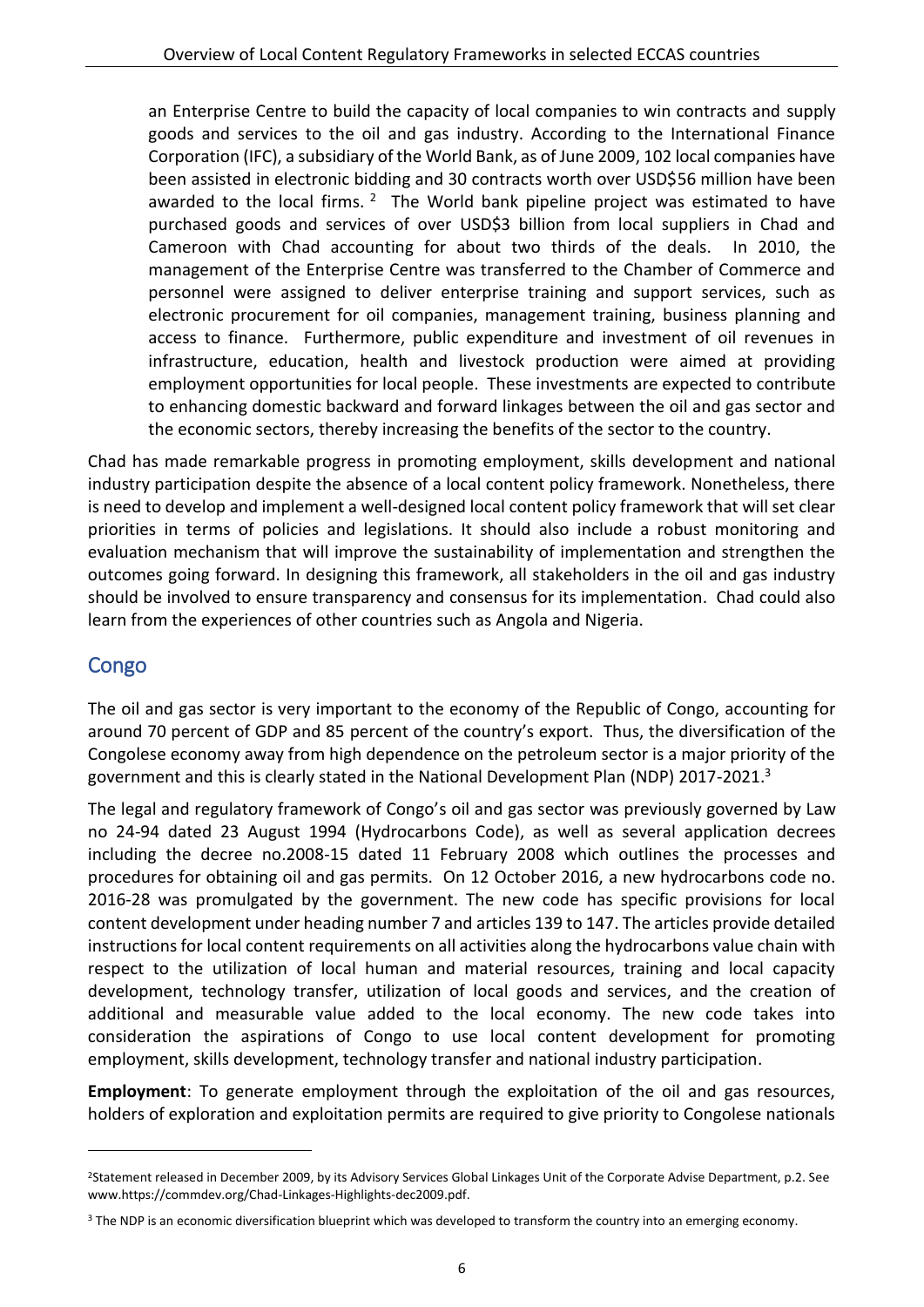an Enterprise Centre to build the capacity of local companies to win contracts and supply goods and services to the oil and gas industry. According to the International Finance Corporation (IFC), a subsidiary of the World Bank, as of June 2009, 102 local companies have been assisted in electronic bidding and 30 contracts worth over USD\$56 million have been awarded to the local firms.  $2$  The World bank pipeline project was estimated to have purchased goods and services of over USD\$3 billion from local suppliers in Chad and Cameroon with Chad accounting for about two thirds of the deals. In 2010, the management of the Enterprise Centre was transferred to the Chamber of Commerce and personnel were assigned to deliver enterprise training and support services, such as electronic procurement for oil companies, management training, business planning and access to finance. Furthermore, public expenditure and investment of oil revenues in infrastructure, education, health and livestock production were aimed at providing employment opportunities for local people. These investments are expected to contribute to enhancing domestic backward and forward linkages between the oil and gas sector and the economic sectors, thereby increasing the benefits of the sector to the country.

Chad has made remarkable progress in promoting employment, skills development and national industry participation despite the absence of a local content policy framework. Nonetheless, there is need to develop and implement a well-designed local content policy framework that will set clear priorities in terms of policies and legislations. It should also include a robust monitoring and evaluation mechanism that will improve the sustainability of implementation and strengthen the outcomes going forward. In designing this framework, all stakeholders in the oil and gas industry should be involved to ensure transparency and consensus for its implementation. Chad could also learn from the experiences of other countries such as Angola and Nigeria.

### <span id="page-9-0"></span>Congo

-

The oil and gas sector is very important to the economy of the Republic of Congo, accounting for around 70 percent of GDP and 85 percent of the country's export. Thus, the diversification of the Congolese economy away from high dependence on the petroleum sector is a major priority of the government and this is clearly stated in the National Development Plan (NDP) 2017-2021.<sup>3</sup>

The legal and regulatory framework of Congo's oil and gas sector was previously governed by Law no 24-94 dated 23 August 1994 (Hydrocarbons Code), as well as several application decrees including the decree no.2008-15 dated 11 February 2008 which outlines the processes and procedures for obtaining oil and gas permits. On 12 October 2016, a new hydrocarbons code no. 2016-28 was promulgated by the government. The new code has specific provisions for local content development under heading number 7 and articles 139 to 147. The articles provide detailed instructions for local content requirements on all activities along the hydrocarbons value chain with respect to the utilization of local human and material resources, training and local capacity development, technology transfer, utilization of local goods and services, and the creation of additional and measurable value added to the local economy. The new code takes into consideration the aspirations of Congo to use local content development for promoting employment, skills development, technology transfer and national industry participation.

**Employment**: To generate employment through the exploitation of the oil and gas resources, holders of exploration and exploitation permits are required to give priority to Congolese nationals

<sup>2</sup>Statement released in December 2009, by its Advisory Services Global Linkages Unit of the Corporate Advise Department, p.2. See www.https://commdev.org/Chad-Linkages-Highlights-dec2009.pdf.

<sup>&</sup>lt;sup>3</sup> The NDP is an economic diversification blueprint which was developed to transform the country into an emerging economy.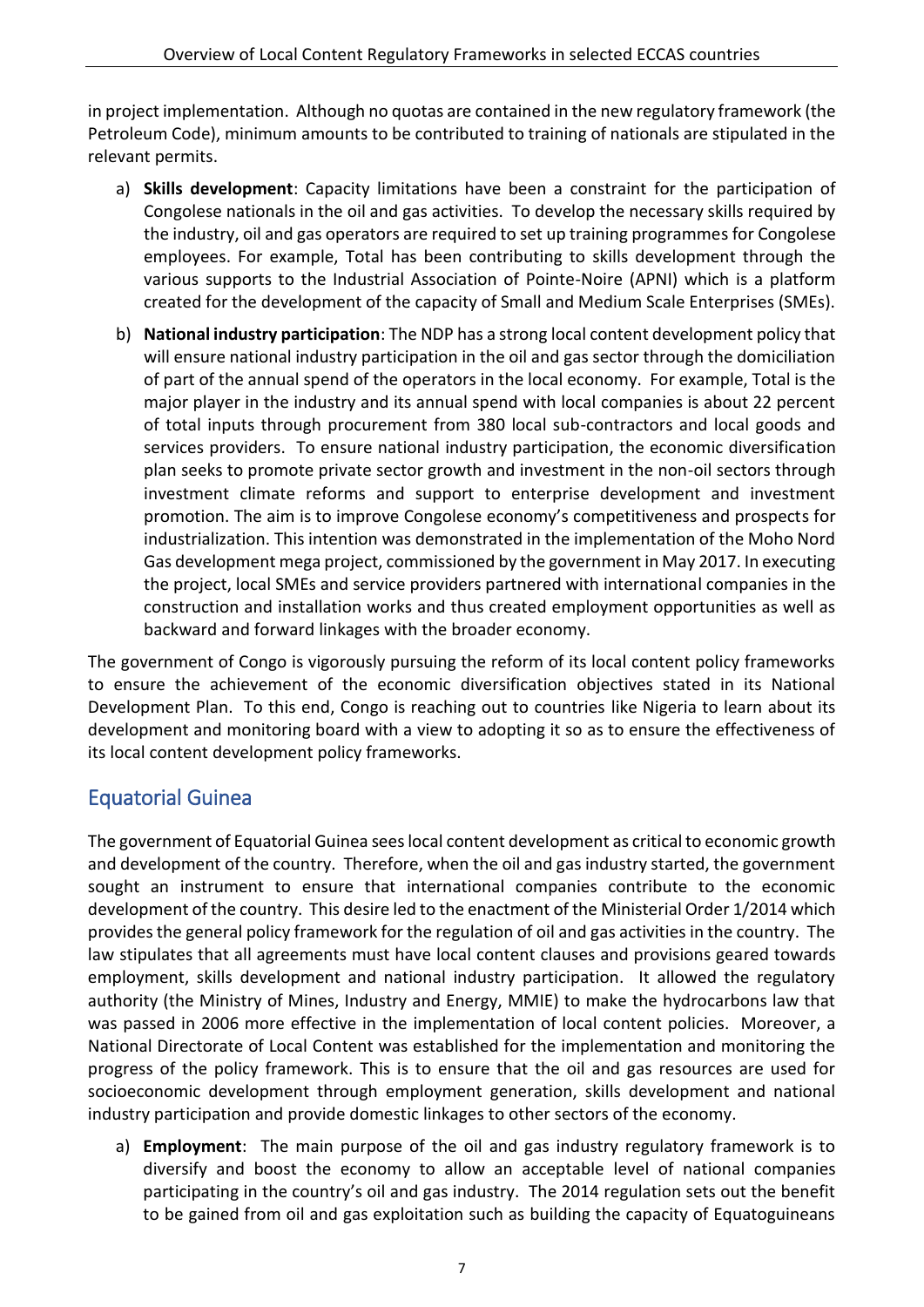in project implementation. Although no quotas are contained in the new regulatory framework (the Petroleum Code), minimum amounts to be contributed to training of nationals are stipulated in the relevant permits.

- a) **Skills development**: Capacity limitations have been a constraint for the participation of Congolese nationals in the oil and gas activities. To develop the necessary skills required by the industry, oil and gas operators are required to set up training programmes for Congolese employees. For example, Total has been contributing to skills development through the various supports to the Industrial Association of Pointe-Noire (APNI) which is a platform created for the development of the capacity of Small and Medium Scale Enterprises (SMEs).
- b) **National industry participation**: The NDP has a strong local content development policy that will ensure national industry participation in the oil and gas sector through the domiciliation of part of the annual spend of the operators in the local economy. For example, Total is the major player in the industry and its annual spend with local companies is about 22 percent of total inputs through procurement from 380 local sub-contractors and local goods and services providers. To ensure national industry participation, the economic diversification plan seeks to promote private sector growth and investment in the non-oil sectors through investment climate reforms and support to enterprise development and investment promotion. The aim is to improve Congolese economy's competitiveness and prospects for industrialization. This intention was demonstrated in the implementation of the Moho Nord Gas development mega project, commissioned by the government in May 2017. In executing the project, local SMEs and service providers partnered with international companies in the construction and installation works and thus created employment opportunities as well as backward and forward linkages with the broader economy.

The government of Congo is vigorously pursuing the reform of its local content policy frameworks to ensure the achievement of the economic diversification objectives stated in its National Development Plan. To this end, Congo is reaching out to countries like Nigeria to learn about its development and monitoring board with a view to adopting it so as to ensure the effectiveness of its local content development policy frameworks.

### <span id="page-10-0"></span>Equatorial Guinea

The government of Equatorial Guinea sees local content development as critical to economic growth and development of the country. Therefore, when the oil and gas industry started, the government sought an instrument to ensure that international companies contribute to the economic development of the country. This desire led to the enactment of the Ministerial Order 1/2014 which provides the general policy framework for the regulation of oil and gas activities in the country. The law stipulates that all agreements must have local content clauses and provisions geared towards employment, skills development and national industry participation. It allowed the regulatory authority (the Ministry of Mines, Industry and Energy, MMIE) to make the hydrocarbons law that was passed in 2006 more effective in the implementation of local content policies. Moreover, a National Directorate of Local Content was established for the implementation and monitoring the progress of the policy framework. This is to ensure that the oil and gas resources are used for socioeconomic development through employment generation, skills development and national industry participation and provide domestic linkages to other sectors of the economy.

a) **Employment**: The main purpose of the oil and gas industry regulatory framework is to diversify and boost the economy to allow an acceptable level of national companies participating in the country's oil and gas industry. The 2014 regulation sets out the benefit to be gained from oil and gas exploitation such as building the capacity of Equatoguineans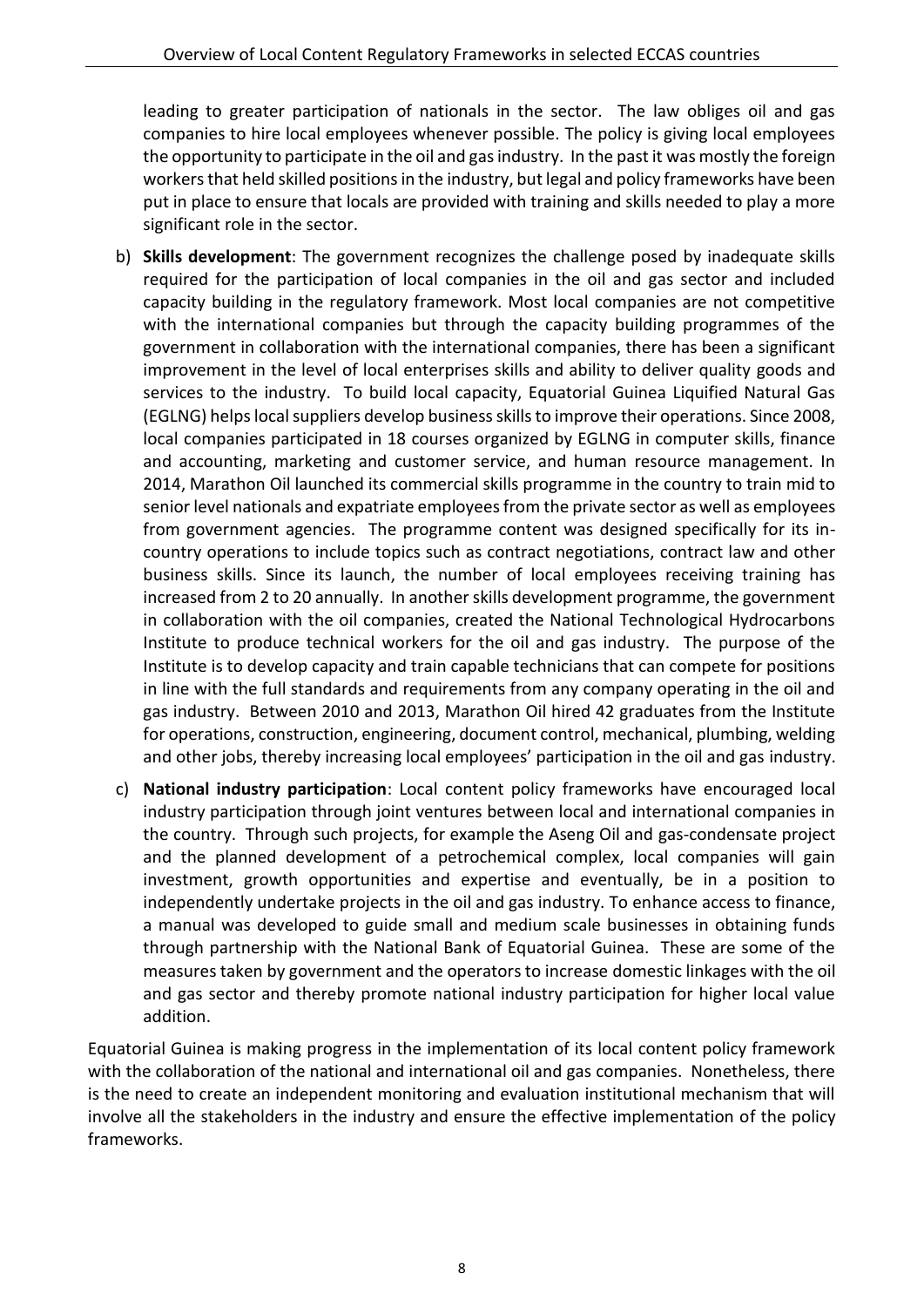leading to greater participation of nationals in the sector. The law obliges oil and gas companies to hire local employees whenever possible. The policy is giving local employees the opportunity to participate in the oil and gas industry. In the past it was mostly the foreign workers that held skilled positions in the industry, but legal and policy frameworks have been put in place to ensure that locals are provided with training and skills needed to play a more significant role in the sector.

- b) **Skills development**: The government recognizes the challenge posed by inadequate skills required for the participation of local companies in the oil and gas sector and included capacity building in the regulatory framework. Most local companies are not competitive with the international companies but through the capacity building programmes of the government in collaboration with the international companies, there has been a significant improvement in the level of local enterprises skills and ability to deliver quality goods and services to the industry. To build local capacity, Equatorial Guinea Liquified Natural Gas (EGLNG) helps local suppliers develop business skills to improve their operations. Since 2008, local companies participated in 18 courses organized by EGLNG in computer skills, finance and accounting, marketing and customer service, and human resource management. In 2014, Marathon Oil launched its commercial skills programme in the country to train mid to senior level nationals and expatriate employees from the private sector as well as employees from government agencies. The programme content was designed specifically for its incountry operations to include topics such as contract negotiations, contract law and other business skills. Since its launch, the number of local employees receiving training has increased from 2 to 20 annually. In another skills development programme, the government in collaboration with the oil companies, created the National Technological Hydrocarbons Institute to produce technical workers for the oil and gas industry. The purpose of the Institute is to develop capacity and train capable technicians that can compete for positions in line with the full standards and requirements from any company operating in the oil and gas industry. Between 2010 and 2013, Marathon Oil hired 42 graduates from the Institute for operations, construction, engineering, document control, mechanical, plumbing, welding and other jobs, thereby increasing local employees' participation in the oil and gas industry.
- c) **National industry participation**: Local content policy frameworks have encouraged local industry participation through joint ventures between local and international companies in the country. Through such projects, for example the Aseng Oil and gas-condensate project and the planned development of a petrochemical complex, local companies will gain investment, growth opportunities and expertise and eventually, be in a position to independently undertake projects in the oil and gas industry. To enhance access to finance, a manual was developed to guide small and medium scale businesses in obtaining funds through partnership with the National Bank of Equatorial Guinea. These are some of the measures taken by government and the operators to increase domestic linkages with the oil and gas sector and thereby promote national industry participation for higher local value addition.

Equatorial Guinea is making progress in the implementation of its local content policy framework with the collaboration of the national and international oil and gas companies. Nonetheless, there is the need to create an independent monitoring and evaluation institutional mechanism that will involve all the stakeholders in the industry and ensure the effective implementation of the policy frameworks.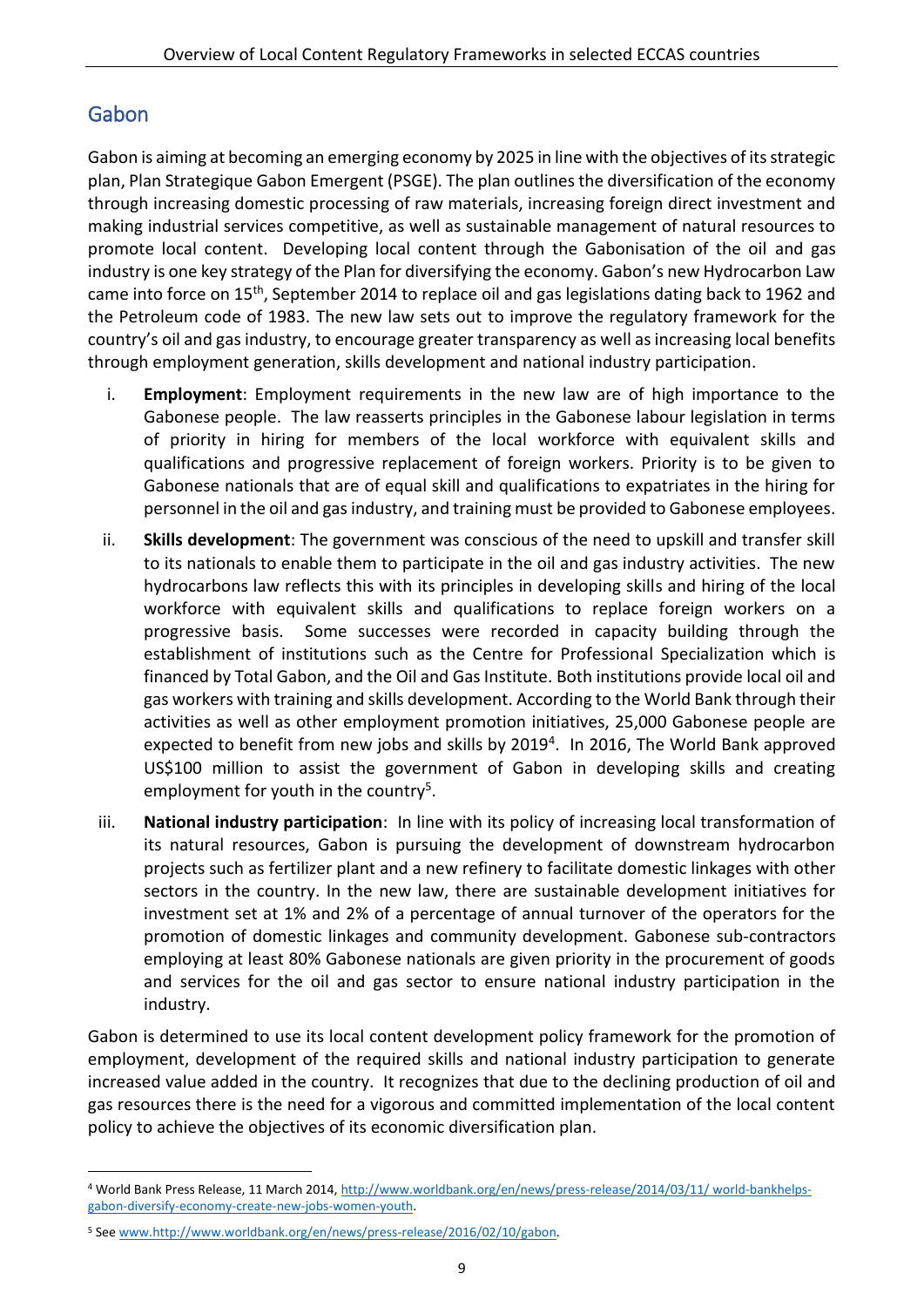### <span id="page-12-0"></span>Gabon

-

Gabon is aiming at becoming an emerging economy by 2025 in line with the objectives of its strategic plan, Plan Strategique Gabon Emergent (PSGE). The plan outlines the diversification of the economy through increasing domestic processing of raw materials, increasing foreign direct investment and making industrial services competitive, as well as sustainable management of natural resources to promote local content. Developing local content through the Gabonisation of the oil and gas industry is one key strategy of the Plan for diversifying the economy. Gabon's new Hydrocarbon Law came into force on 15<sup>th</sup>, September 2014 to replace oil and gas legislations dating back to 1962 and the Petroleum code of 1983. The new law sets out to improve the regulatory framework for the country's oil and gas industry, to encourage greater transparency as well as increasing local benefits through employment generation, skills development and national industry participation.

- i. **Employment**: Employment requirements in the new law are of high importance to the Gabonese people. The law reasserts principles in the Gabonese labour legislation in terms of priority in hiring for members of the local workforce with equivalent skills and qualifications and progressive replacement of foreign workers. Priority is to be given to Gabonese nationals that are of equal skill and qualifications to expatriates in the hiring for personnel in the oil and gas industry, and training must be provided to Gabonese employees.
- ii. **Skills development**: The government was conscious of the need to upskill and transfer skill to its nationals to enable them to participate in the oil and gas industry activities. The new hydrocarbons law reflects this with its principles in developing skills and hiring of the local workforce with equivalent skills and qualifications to replace foreign workers on a progressive basis. Some successes were recorded in capacity building through the establishment of institutions such as the Centre for Professional Specialization which is financed by Total Gabon, and the Oil and Gas Institute. Both institutions provide local oil and gas workers with training and skills development. According to the World Bank through their activities as well as other employment promotion initiatives, 25,000 Gabonese people are expected to benefit from new jobs and skills by 2019<sup>4</sup>. In 2016, The World Bank approved US\$100 million to assist the government of Gabon in developing skills and creating employment for youth in the country<sup>5</sup>.
- iii. **National industry participation**: In line with its policy of increasing local transformation of its natural resources, Gabon is pursuing the development of downstream hydrocarbon projects such as fertilizer plant and a new refinery to facilitate domestic linkages with other sectors in the country. In the new law, there are sustainable development initiatives for investment set at 1% and 2% of a percentage of annual turnover of the operators for the promotion of domestic linkages and community development. Gabonese sub-contractors employing at least 80% Gabonese nationals are given priority in the procurement of goods and services for the oil and gas sector to ensure national industry participation in the industry.

Gabon is determined to use its local content development policy framework for the promotion of employment, development of the required skills and national industry participation to generate increased value added in the country. It recognizes that due to the declining production of oil and gas resources there is the need for a vigorous and committed implementation of the local content policy to achieve the objectives of its economic diversification plan.

<sup>4</sup> World Bank Press Release, 11 March 2014, [http://www.worldbank.org/en/news/press-release/2014/03/11/ world-bankhelps](http://www.worldbank.org/en/news/press-release/2014/03/11/world-bankhelps-gabon-diversify-economy-create-new-jobs-women-youth)[gabon-diversify-economy-create-new-jobs-women-youth.](http://www.worldbank.org/en/news/press-release/2014/03/11/world-bankhelps-gabon-diversify-economy-create-new-jobs-women-youth) 

<sup>5</sup> See [www.http://www.worldbank.org/en/news/press-release/2016/02/10/gabon.](http://www.http/www.worldbank.org/en/news/press-release/2016/02/10/gabon)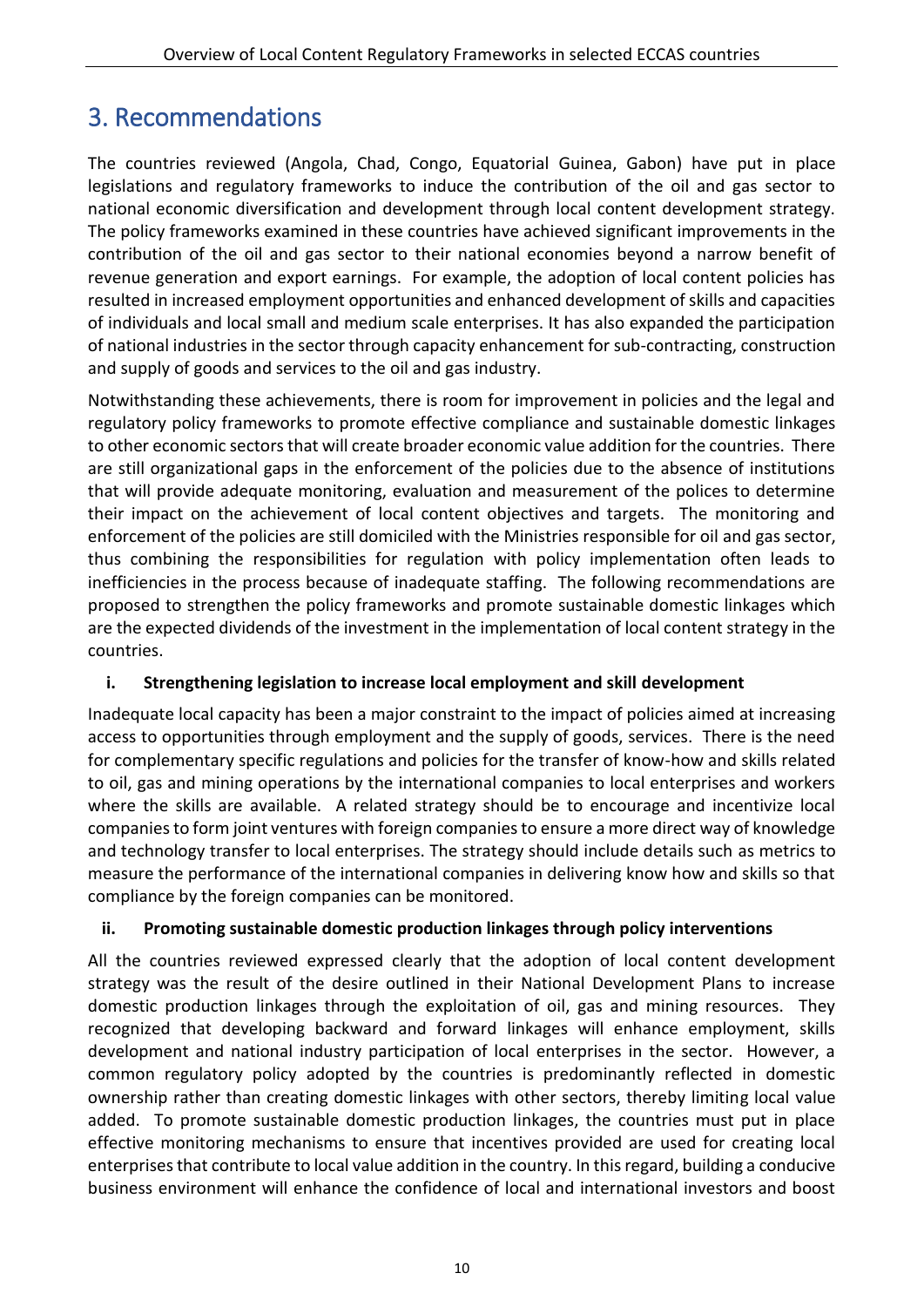# <span id="page-13-0"></span>3. Recommendations

The countries reviewed (Angola, Chad, Congo, Equatorial Guinea, Gabon) have put in place legislations and regulatory frameworks to induce the contribution of the oil and gas sector to national economic diversification and development through local content development strategy. The policy frameworks examined in these countries have achieved significant improvements in the contribution of the oil and gas sector to their national economies beyond a narrow benefit of revenue generation and export earnings. For example, the adoption of local content policies has resulted in increased employment opportunities and enhanced development of skills and capacities of individuals and local small and medium scale enterprises. It has also expanded the participation of national industries in the sector through capacity enhancement for sub-contracting, construction and supply of goods and services to the oil and gas industry.

Notwithstanding these achievements, there is room for improvement in policies and the legal and regulatory policy frameworks to promote effective compliance and sustainable domestic linkages to other economic sectors that will create broader economic value addition for the countries. There are still organizational gaps in the enforcement of the policies due to the absence of institutions that will provide adequate monitoring, evaluation and measurement of the polices to determine their impact on the achievement of local content objectives and targets. The monitoring and enforcement of the policies are still domiciled with the Ministries responsible for oil and gas sector, thus combining the responsibilities for regulation with policy implementation often leads to inefficiencies in the process because of inadequate staffing. The following recommendations are proposed to strengthen the policy frameworks and promote sustainable domestic linkages which are the expected dividends of the investment in the implementation of local content strategy in the countries.

#### **i. Strengthening legislation to increase local employment and skill development**

Inadequate local capacity has been a major constraint to the impact of policies aimed at increasing access to opportunities through employment and the supply of goods, services. There is the need for complementary specific regulations and policies for the transfer of know-how and skills related to oil, gas and mining operations by the international companies to local enterprises and workers where the skills are available. A related strategy should be to encourage and incentivize local companies to form joint ventures with foreign companies to ensure a more direct way of knowledge and technology transfer to local enterprises. The strategy should include details such as metrics to measure the performance of the international companies in delivering know how and skills so that compliance by the foreign companies can be monitored.

#### **ii. Promoting sustainable domestic production linkages through policy interventions**

All the countries reviewed expressed clearly that the adoption of local content development strategy was the result of the desire outlined in their National Development Plans to increase domestic production linkages through the exploitation of oil, gas and mining resources. They recognized that developing backward and forward linkages will enhance employment, skills development and national industry participation of local enterprises in the sector. However, a common regulatory policy adopted by the countries is predominantly reflected in domestic ownership rather than creating domestic linkages with other sectors, thereby limiting local value added. To promote sustainable domestic production linkages, the countries must put in place effective monitoring mechanisms to ensure that incentives provided are used for creating local enterprises that contribute to local value addition in the country. In this regard, building a conducive business environment will enhance the confidence of local and international investors and boost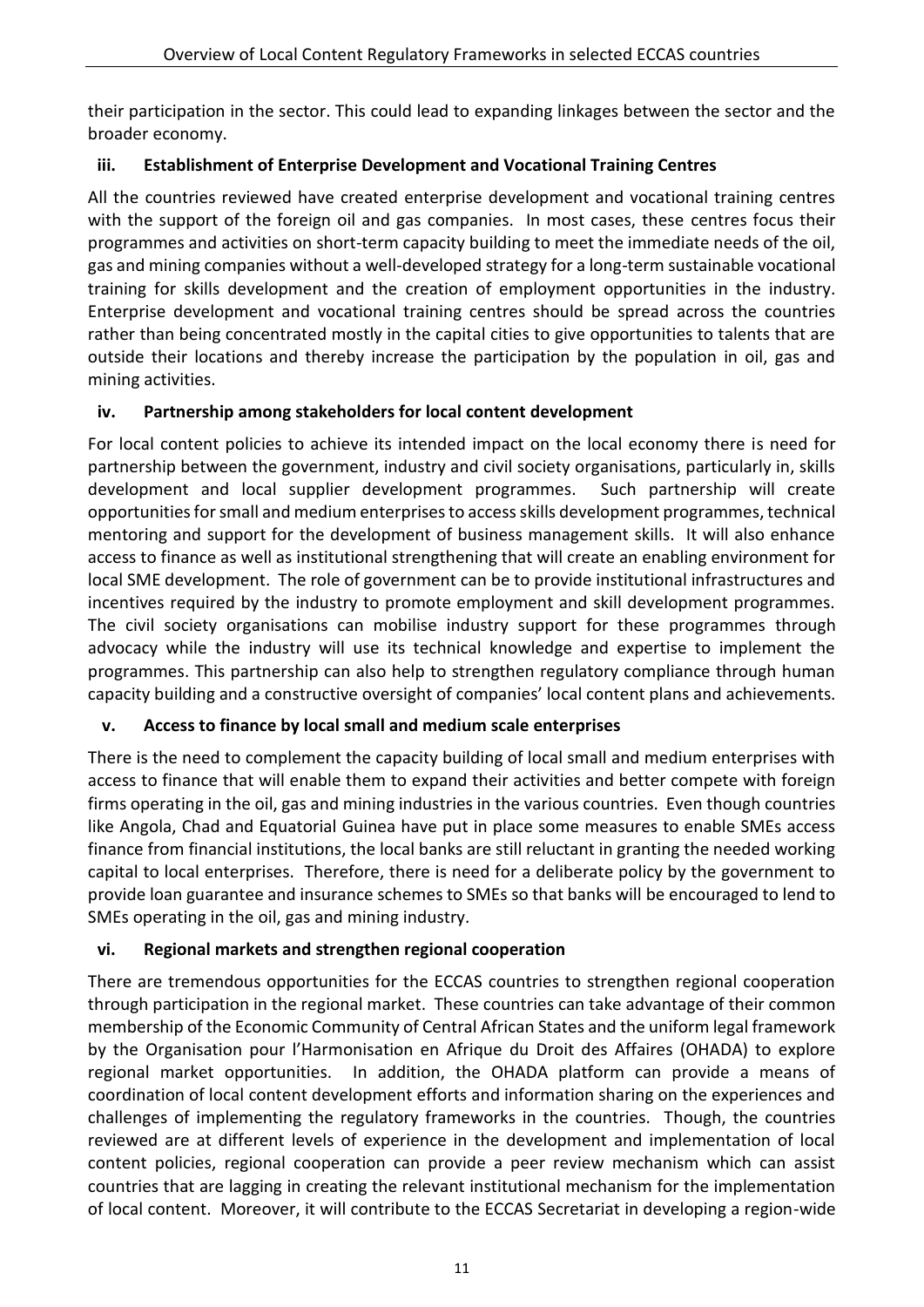their participation in the sector. This could lead to expanding linkages between the sector and the broader economy.

### **iii. Establishment of Enterprise Development and Vocational Training Centres**

All the countries reviewed have created enterprise development and vocational training centres with the support of the foreign oil and gas companies. In most cases, these centres focus their programmes and activities on short-term capacity building to meet the immediate needs of the oil, gas and mining companies without a well-developed strategy for a long-term sustainable vocational training for skills development and the creation of employment opportunities in the industry. Enterprise development and vocational training centres should be spread across the countries rather than being concentrated mostly in the capital cities to give opportunities to talents that are outside their locations and thereby increase the participation by the population in oil, gas and mining activities.

### **iv. Partnership among stakeholders for local content development**

For local content policies to achieve its intended impact on the local economy there is need for partnership between the government, industry and civil society organisations, particularly in, skills development and local supplier development programmes. Such partnership will create opportunities for small and medium enterprises to access skills development programmes, technical mentoring and support for the development of business management skills. It will also enhance access to finance as well as institutional strengthening that will create an enabling environment for local SME development. The role of government can be to provide institutional infrastructures and incentives required by the industry to promote employment and skill development programmes. The civil society organisations can mobilise industry support for these programmes through advocacy while the industry will use its technical knowledge and expertise to implement the programmes. This partnership can also help to strengthen regulatory compliance through human capacity building and a constructive oversight of companies' local content plans and achievements.

### **v. Access to finance by local small and medium scale enterprises**

There is the need to complement the capacity building of local small and medium enterprises with access to finance that will enable them to expand their activities and better compete with foreign firms operating in the oil, gas and mining industries in the various countries. Even though countries like Angola, Chad and Equatorial Guinea have put in place some measures to enable SMEs access finance from financial institutions, the local banks are still reluctant in granting the needed working capital to local enterprises. Therefore, there is need for a deliberate policy by the government to provide loan guarantee and insurance schemes to SMEs so that banks will be encouraged to lend to SMEs operating in the oil, gas and mining industry.

### **vi. Regional markets and strengthen regional cooperation**

There are tremendous opportunities for the ECCAS countries to strengthen regional cooperation through participation in the regional market. These countries can take advantage of their common membership of the Economic Community of Central African States and the uniform legal framework by the Organisation pour l'Harmonisation en Afrique du Droit des Affaires (OHADA) to explore regional market opportunities. In addition, the OHADA platform can provide a means of coordination of local content development efforts and information sharing on the experiences and challenges of implementing the regulatory frameworks in the countries. Though, the countries reviewed are at different levels of experience in the development and implementation of local content policies, regional cooperation can provide a peer review mechanism which can assist countries that are lagging in creating the relevant institutional mechanism for the implementation of local content. Moreover, it will contribute to the ECCAS Secretariat in developing a region-wide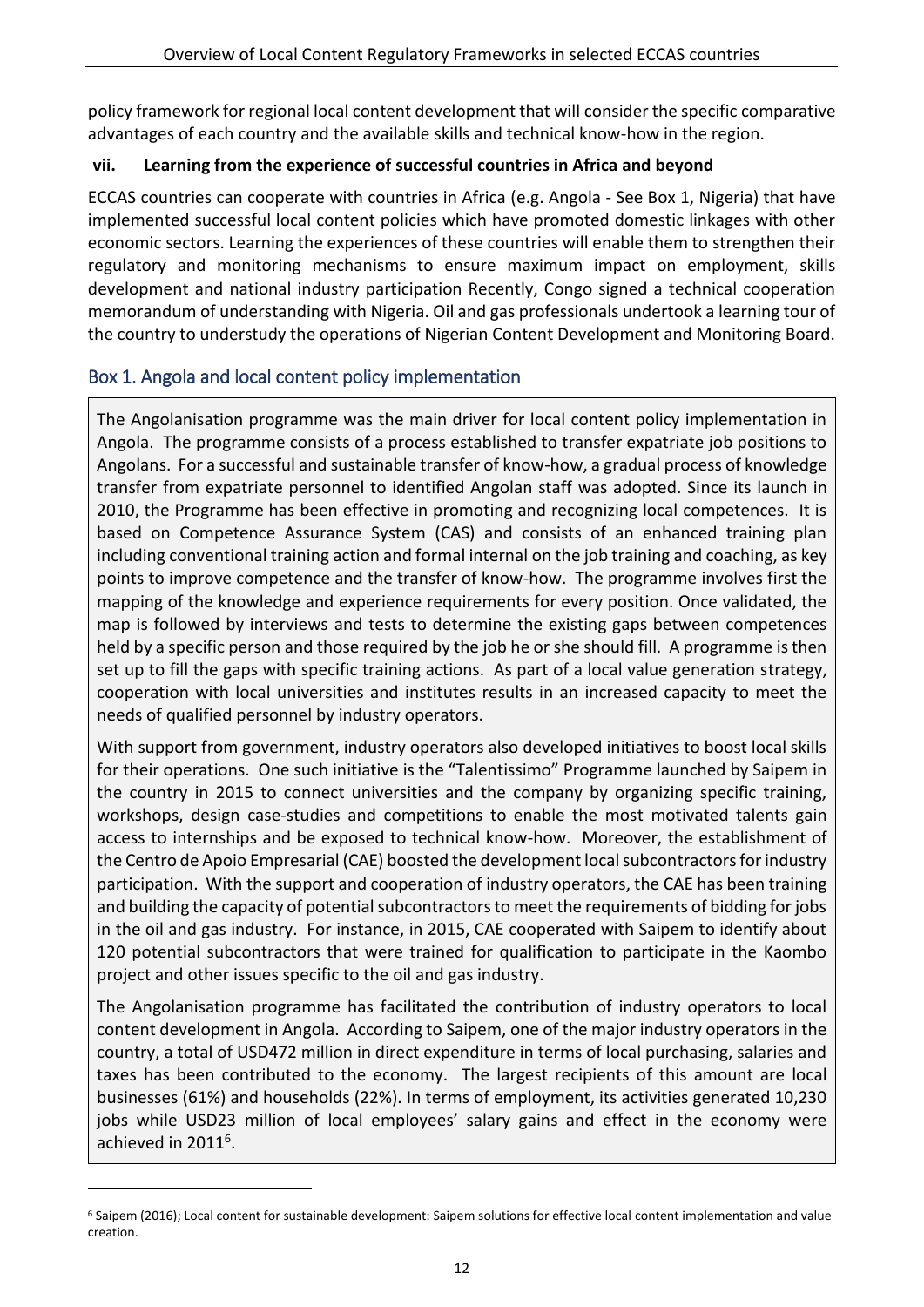policy framework for regional local content development that will consider the specific comparative advantages of each country and the available skills and technical know-how in the region.

### **vii. Learning from the experience of successful countries in Africa and beyond**

ECCAS countries can cooperate with countries in Africa (e.g. Angola - See Box 1, Nigeria) that have implemented successful local content policies which have promoted domestic linkages with other economic sectors. Learning the experiences of these countries will enable them to strengthen their regulatory and monitoring mechanisms to ensure maximum impact on employment, skills development and national industry participation Recently, Congo signed a technical cooperation memorandum of understanding with Nigeria. Oil and gas professionals undertook a learning tour of the country to understudy the operations of Nigerian Content Development and Monitoring Board.

### <span id="page-15-0"></span>Box 1. Angola and local content policy implementation

-

The Angolanisation programme was the main driver for local content policy implementation in Angola. The programme consists of a process established to transfer expatriate job positions to Angolans. For a successful and sustainable transfer of know-how, a gradual process of knowledge transfer from expatriate personnel to identified Angolan staff was adopted. Since its launch in 2010, the Programme has been effective in promoting and recognizing local competences. It is based on Competence Assurance System (CAS) and consists of an enhanced training plan including conventional training action and formal internal on the job training and coaching, as key points to improve competence and the transfer of know-how. The programme involves first the mapping of the knowledge and experience requirements for every position. Once validated, the map is followed by interviews and tests to determine the existing gaps between competences held by a specific person and those required by the job he or she should fill. A programme is then set up to fill the gaps with specific training actions. As part of a local value generation strategy, cooperation with local universities and institutes results in an increased capacity to meet the needs of qualified personnel by industry operators.

With support from government, industry operators also developed initiatives to boost local skills for their operations. One such initiative is the "Talentissimo" Programme launched by Saipem in the country in 2015 to connect universities and the company by organizing specific training, workshops, design case-studies and competitions to enable the most motivated talents gain access to internships and be exposed to technical know-how. Moreover, the establishment of the Centro de Apoio Empresarial (CAE) boosted the development local subcontractors for industry participation. With the support and cooperation of industry operators, the CAE has been training and building the capacity of potential subcontractors to meet the requirements of bidding for jobs in the oil and gas industry. For instance, in 2015, CAE cooperated with Saipem to identify about 120 potential subcontractors that were trained for qualification to participate in the Kaombo project and other issues specific to the oil and gas industry.

The Angolanisation programme has facilitated the contribution of industry operators to local content development in Angola. According to Saipem, one of the major industry operators in the country, a total of USD472 million in direct expenditure in terms of local purchasing, salaries and taxes has been contributed to the economy. The largest recipients of this amount are local businesses (61%) and households (22%). In terms of employment, its activities generated 10,230 jobs while USD23 million of local employees' salary gains and effect in the economy were achieved in 2011<sup>6</sup>.

<sup>6</sup> Saipem (2016); Local content for sustainable development: Saipem solutions for effective local content implementation and value creation.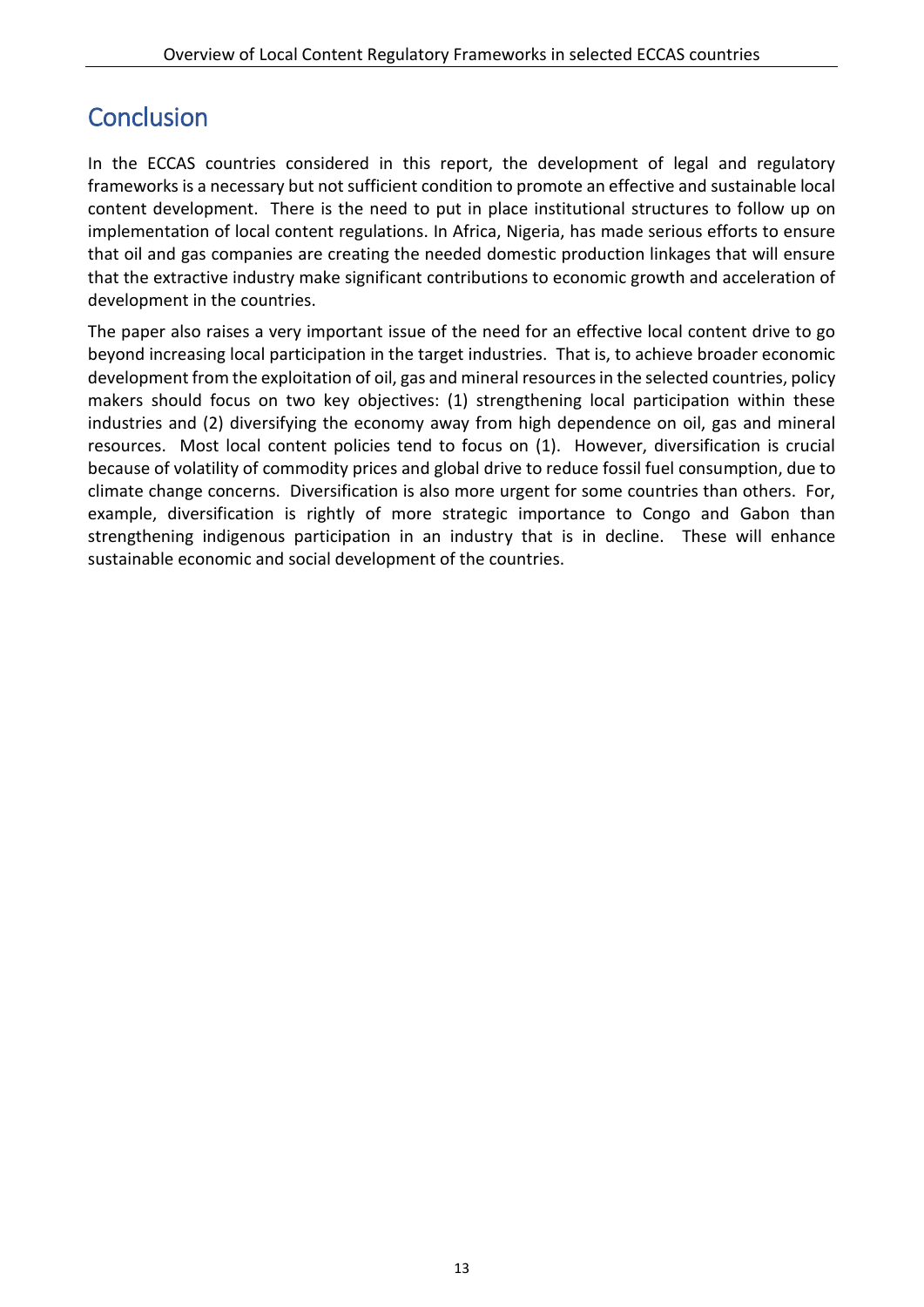# <span id="page-16-0"></span>**Conclusion**

In the ECCAS countries considered in this report, the development of legal and regulatory frameworks is a necessary but not sufficient condition to promote an effective and sustainable local content development. There is the need to put in place institutional structures to follow up on implementation of local content regulations. In Africa, Nigeria, has made serious efforts to ensure that oil and gas companies are creating the needed domestic production linkages that will ensure that the extractive industry make significant contributions to economic growth and acceleration of development in the countries.

The paper also raises a very important issue of the need for an effective local content drive to go beyond increasing local participation in the target industries. That is, to achieve broader economic development from the exploitation of oil, gas and mineral resources in the selected countries, policy makers should focus on two key objectives: (1) strengthening local participation within these industries and (2) diversifying the economy away from high dependence on oil, gas and mineral resources. Most local content policies tend to focus on (1). However, diversification is crucial because of volatility of commodity prices and global drive to reduce fossil fuel consumption, due to climate change concerns. Diversification is also more urgent for some countries than others. For, example, diversification is rightly of more strategic importance to Congo and Gabon than strengthening indigenous participation in an industry that is in decline. These will enhance sustainable economic and social development of the countries.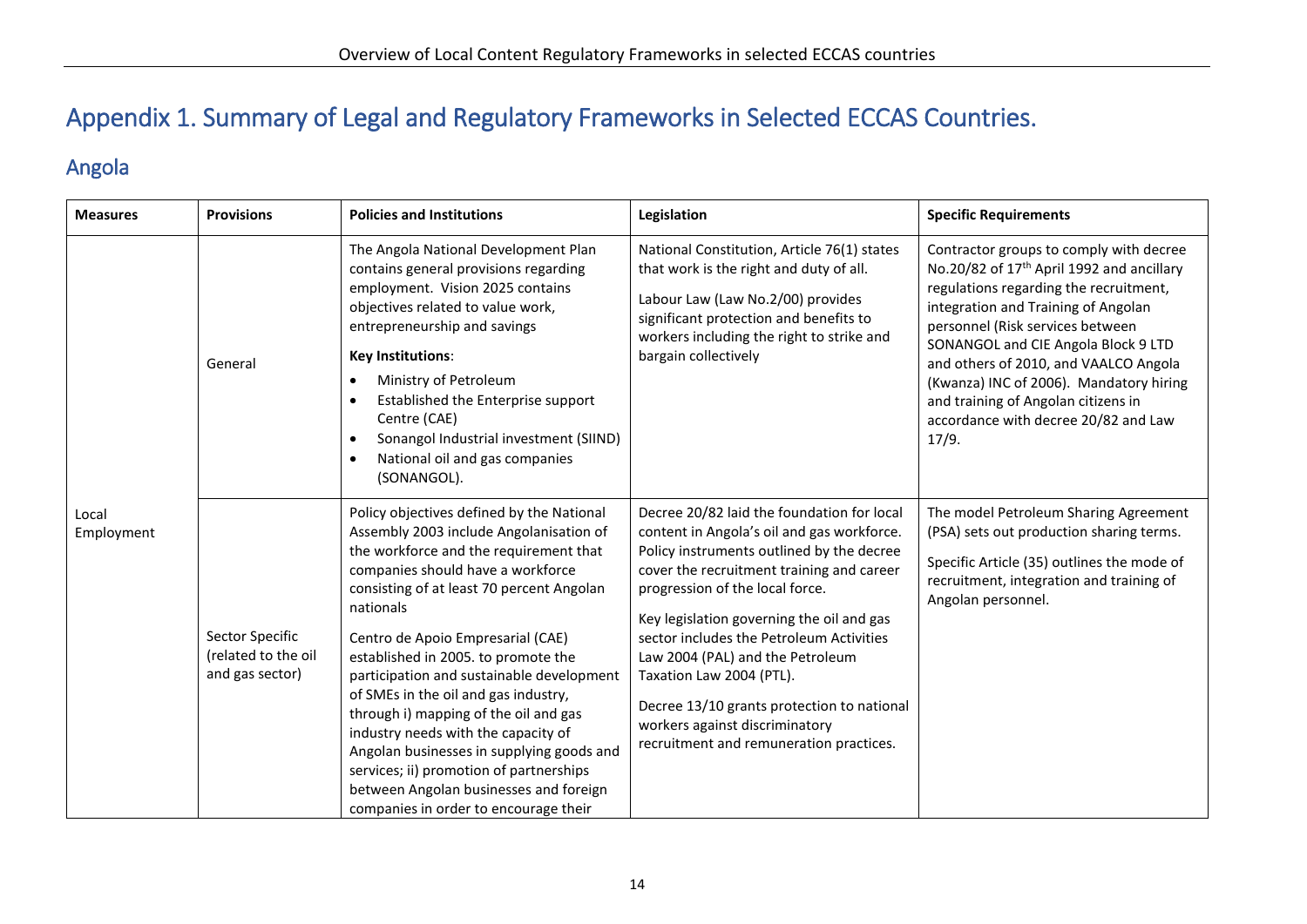# Appendix 1. Summary of Legal and Regulatory Frameworks in Selected ECCAS Countries.

### Angola

<span id="page-17-1"></span><span id="page-17-0"></span>

| <b>Measures</b>     | <b>Provisions</b>                                         | <b>Policies and Institutions</b>                                                                                                                                                                                                                                                                                                                                                                                                                                                                                                                                                                                                                          | Legislation                                                                                                                                                                                                                                                                                                                                                                                                                                                                                               | <b>Specific Requirements</b>                                                                                                                                                                                                                                                                                                                                                                                                             |
|---------------------|-----------------------------------------------------------|-----------------------------------------------------------------------------------------------------------------------------------------------------------------------------------------------------------------------------------------------------------------------------------------------------------------------------------------------------------------------------------------------------------------------------------------------------------------------------------------------------------------------------------------------------------------------------------------------------------------------------------------------------------|-----------------------------------------------------------------------------------------------------------------------------------------------------------------------------------------------------------------------------------------------------------------------------------------------------------------------------------------------------------------------------------------------------------------------------------------------------------------------------------------------------------|------------------------------------------------------------------------------------------------------------------------------------------------------------------------------------------------------------------------------------------------------------------------------------------------------------------------------------------------------------------------------------------------------------------------------------------|
|                     | General                                                   | The Angola National Development Plan<br>contains general provisions regarding<br>employment. Vision 2025 contains<br>objectives related to value work,<br>entrepreneurship and savings<br>Key Institutions:<br>Ministry of Petroleum<br>Established the Enterprise support<br>$\bullet$<br>Centre (CAE)<br>Sonangol Industrial investment (SIIND)<br>$\bullet$<br>National oil and gas companies<br>$\bullet$<br>(SONANGOL).                                                                                                                                                                                                                              | National Constitution, Article 76(1) states<br>that work is the right and duty of all.<br>Labour Law (Law No.2/00) provides<br>significant protection and benefits to<br>workers including the right to strike and<br>bargain collectively                                                                                                                                                                                                                                                                | Contractor groups to comply with decree<br>No.20/82 of 17 <sup>th</sup> April 1992 and ancillary<br>regulations regarding the recruitment,<br>integration and Training of Angolan<br>personnel (Risk services between<br>SONANGOL and CIE Angola Block 9 LTD<br>and others of 2010, and VAALCO Angola<br>(Kwanza) INC of 2006). Mandatory hiring<br>and training of Angolan citizens in<br>accordance with decree 20/82 and Law<br>17/9. |
| Local<br>Employment | Sector Specific<br>(related to the oil<br>and gas sector) | Policy objectives defined by the National<br>Assembly 2003 include Angolanisation of<br>the workforce and the requirement that<br>companies should have a workforce<br>consisting of at least 70 percent Angolan<br>nationals<br>Centro de Apoio Empresarial (CAE)<br>established in 2005. to promote the<br>participation and sustainable development<br>of SMEs in the oil and gas industry,<br>through i) mapping of the oil and gas<br>industry needs with the capacity of<br>Angolan businesses in supplying goods and<br>services; ii) promotion of partnerships<br>between Angolan businesses and foreign<br>companies in order to encourage their | Decree 20/82 laid the foundation for local<br>content in Angola's oil and gas workforce.<br>Policy instruments outlined by the decree<br>cover the recruitment training and career<br>progression of the local force.<br>Key legislation governing the oil and gas<br>sector includes the Petroleum Activities<br>Law 2004 (PAL) and the Petroleum<br>Taxation Law 2004 (PTL).<br>Decree 13/10 grants protection to national<br>workers against discriminatory<br>recruitment and remuneration practices. | The model Petroleum Sharing Agreement<br>(PSA) sets out production sharing terms.<br>Specific Article (35) outlines the mode of<br>recruitment, integration and training of<br>Angolan personnel.                                                                                                                                                                                                                                        |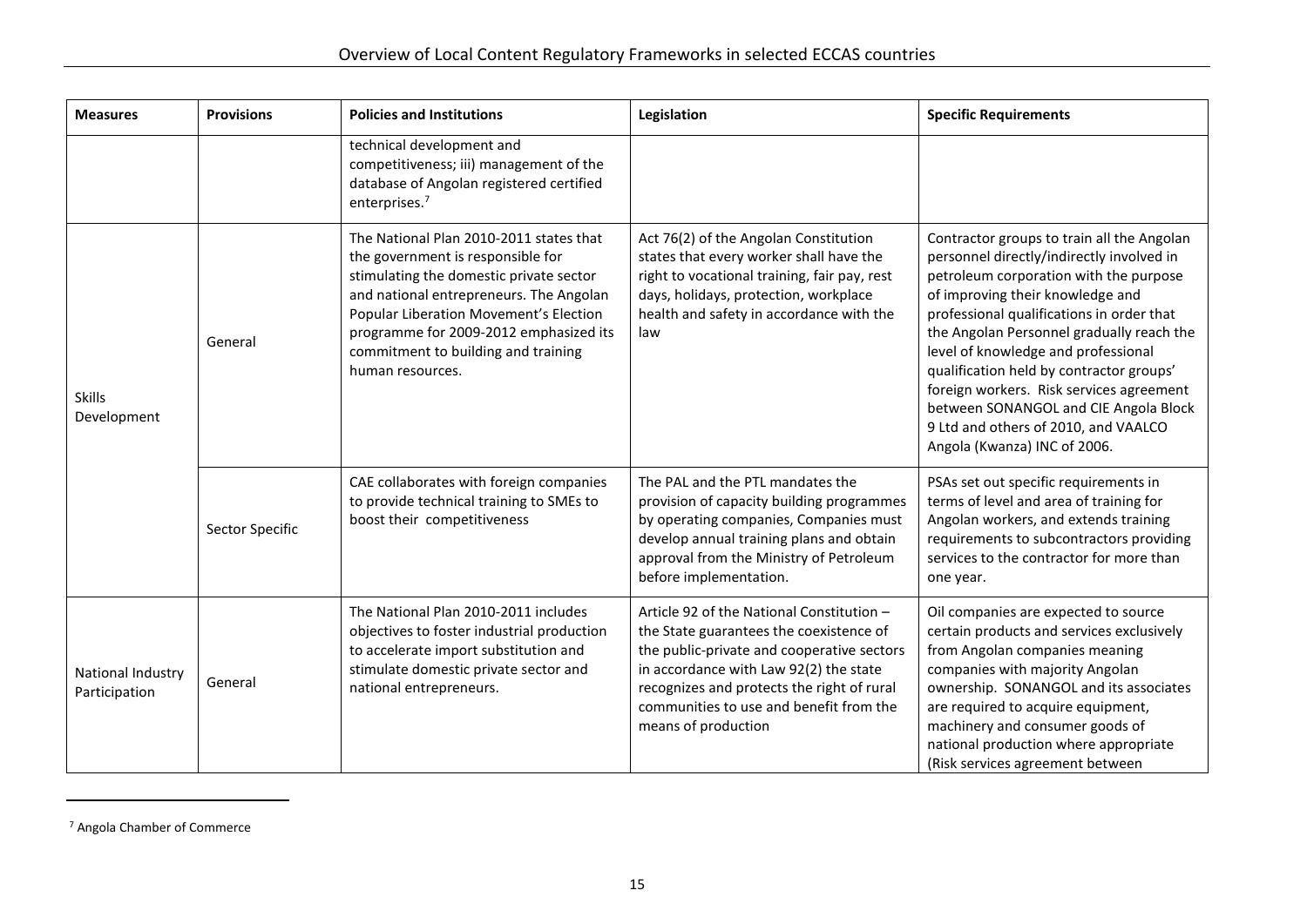| <b>Measures</b>                    | <b>Provisions</b> | <b>Policies and Institutions</b>                                                                                                                                                                                                                                                                                  | Legislation                                                                                                                                                                                                                                                                                  | <b>Specific Requirements</b>                                                                                                                                                                                                                                                                                                                                                                                                                                                                                    |
|------------------------------------|-------------------|-------------------------------------------------------------------------------------------------------------------------------------------------------------------------------------------------------------------------------------------------------------------------------------------------------------------|----------------------------------------------------------------------------------------------------------------------------------------------------------------------------------------------------------------------------------------------------------------------------------------------|-----------------------------------------------------------------------------------------------------------------------------------------------------------------------------------------------------------------------------------------------------------------------------------------------------------------------------------------------------------------------------------------------------------------------------------------------------------------------------------------------------------------|
|                                    |                   | technical development and<br>competitiveness; iii) management of the<br>database of Angolan registered certified<br>enterprises. <sup>7</sup>                                                                                                                                                                     |                                                                                                                                                                                                                                                                                              |                                                                                                                                                                                                                                                                                                                                                                                                                                                                                                                 |
| <b>Skills</b><br>Development       | General           | The National Plan 2010-2011 states that<br>the government is responsible for<br>stimulating the domestic private sector<br>and national entrepreneurs. The Angolan<br>Popular Liberation Movement's Election<br>programme for 2009-2012 emphasized its<br>commitment to building and training<br>human resources. | Act 76(2) of the Angolan Constitution<br>states that every worker shall have the<br>right to vocational training, fair pay, rest<br>days, holidays, protection, workplace<br>health and safety in accordance with the<br>law                                                                 | Contractor groups to train all the Angolan<br>personnel directly/indirectly involved in<br>petroleum corporation with the purpose<br>of improving their knowledge and<br>professional qualifications in order that<br>the Angolan Personnel gradually reach the<br>level of knowledge and professional<br>qualification held by contractor groups'<br>foreign workers. Risk services agreement<br>between SONANGOL and CIE Angola Block<br>9 Ltd and others of 2010, and VAALCO<br>Angola (Kwanza) INC of 2006. |
|                                    | Sector Specific   | CAE collaborates with foreign companies<br>to provide technical training to SMEs to<br>boost their competitiveness                                                                                                                                                                                                | The PAL and the PTL mandates the<br>provision of capacity building programmes<br>by operating companies, Companies must<br>develop annual training plans and obtain<br>approval from the Ministry of Petroleum<br>before implementation.                                                     | PSAs set out specific requirements in<br>terms of level and area of training for<br>Angolan workers, and extends training<br>requirements to subcontractors providing<br>services to the contractor for more than<br>one year.                                                                                                                                                                                                                                                                                  |
| National Industry<br>Participation | General           | The National Plan 2010-2011 includes<br>objectives to foster industrial production<br>to accelerate import substitution and<br>stimulate domestic private sector and<br>national entrepreneurs.                                                                                                                   | Article 92 of the National Constitution -<br>the State guarantees the coexistence of<br>the public-private and cooperative sectors<br>in accordance with Law 92(2) the state<br>recognizes and protects the right of rural<br>communities to use and benefit from the<br>means of production | Oil companies are expected to source<br>certain products and services exclusively<br>from Angolan companies meaning<br>companies with majority Angolan<br>ownership. SONANGOL and its associates<br>are required to acquire equipment,<br>machinery and consumer goods of<br>national production where appropriate<br>(Risk services agreement between                                                                                                                                                          |

<sup>7</sup> Angola Chamber of Commerce

 $\overline{a}$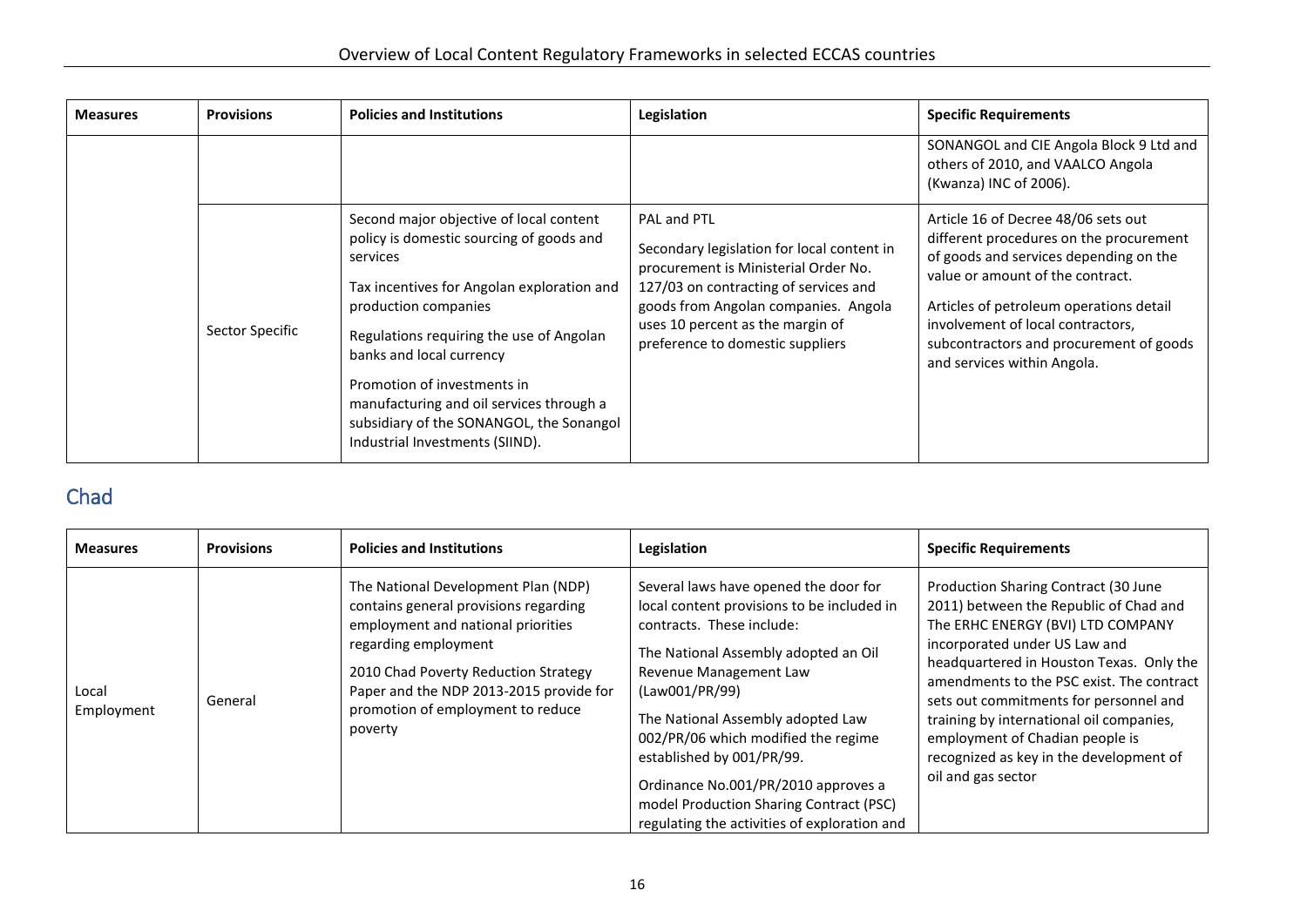| <b>Measures</b> | <b>Provisions</b> | <b>Policies and Institutions</b>                                                                                                                                                                                                                                                                                                                                                                        | Legislation                                                                                                                                                                                                                                                | <b>Specific Requirements</b>                                                                                                                                                                                                                                                                                           |
|-----------------|-------------------|---------------------------------------------------------------------------------------------------------------------------------------------------------------------------------------------------------------------------------------------------------------------------------------------------------------------------------------------------------------------------------------------------------|------------------------------------------------------------------------------------------------------------------------------------------------------------------------------------------------------------------------------------------------------------|------------------------------------------------------------------------------------------------------------------------------------------------------------------------------------------------------------------------------------------------------------------------------------------------------------------------|
|                 |                   |                                                                                                                                                                                                                                                                                                                                                                                                         |                                                                                                                                                                                                                                                            | SONANGOL and CIE Angola Block 9 Ltd and<br>others of 2010, and VAALCO Angola<br>(Kwanza) INC of 2006).                                                                                                                                                                                                                 |
|                 | Sector Specific   | Second major objective of local content<br>policy is domestic sourcing of goods and<br>services<br>Tax incentives for Angolan exploration and<br>production companies<br>Regulations requiring the use of Angolan<br>banks and local currency<br>Promotion of investments in<br>manufacturing and oil services through a<br>subsidiary of the SONANGOL, the Sonangol<br>Industrial Investments (SIIND). | PAL and PTL<br>Secondary legislation for local content in<br>procurement is Ministerial Order No.<br>127/03 on contracting of services and<br>goods from Angolan companies. Angola<br>uses 10 percent as the margin of<br>preference to domestic suppliers | Article 16 of Decree 48/06 sets out<br>different procedures on the procurement<br>of goods and services depending on the<br>value or amount of the contract.<br>Articles of petroleum operations detail<br>involvement of local contractors,<br>subcontractors and procurement of goods<br>and services within Angola. |

## Chad

<span id="page-19-0"></span>

| <b>Measures</b>     | <b>Provisions</b> | <b>Policies and Institutions</b>                                                                                                                                                                                                                                              | Legislation                                                                                                                                                                                                                                                                                                                                                                                                                                     | <b>Specific Requirements</b>                                                                                                                                                                                                                                                                                                                                                                                                            |
|---------------------|-------------------|-------------------------------------------------------------------------------------------------------------------------------------------------------------------------------------------------------------------------------------------------------------------------------|-------------------------------------------------------------------------------------------------------------------------------------------------------------------------------------------------------------------------------------------------------------------------------------------------------------------------------------------------------------------------------------------------------------------------------------------------|-----------------------------------------------------------------------------------------------------------------------------------------------------------------------------------------------------------------------------------------------------------------------------------------------------------------------------------------------------------------------------------------------------------------------------------------|
| Local<br>Employment | General           | The National Development Plan (NDP)<br>contains general provisions regarding<br>employment and national priorities<br>regarding employment<br>2010 Chad Poverty Reduction Strategy<br>Paper and the NDP 2013-2015 provide for<br>promotion of employment to reduce<br>poverty | Several laws have opened the door for<br>local content provisions to be included in<br>contracts. These include:<br>The National Assembly adopted an Oil<br>Revenue Management Law<br>(Law001/PR/99)<br>The National Assembly adopted Law<br>002/PR/06 which modified the regime<br>established by 001/PR/99.<br>Ordinance No.001/PR/2010 approves a<br>model Production Sharing Contract (PSC)<br>regulating the activities of exploration and | Production Sharing Contract (30 June<br>2011) between the Republic of Chad and<br>The ERHC ENERGY (BVI) LTD COMPANY<br>incorporated under US Law and<br>headquartered in Houston Texas. Only the<br>amendments to the PSC exist. The contract<br>sets out commitments for personnel and<br>training by international oil companies,<br>employment of Chadian people is<br>recognized as key in the development of<br>oil and gas sector |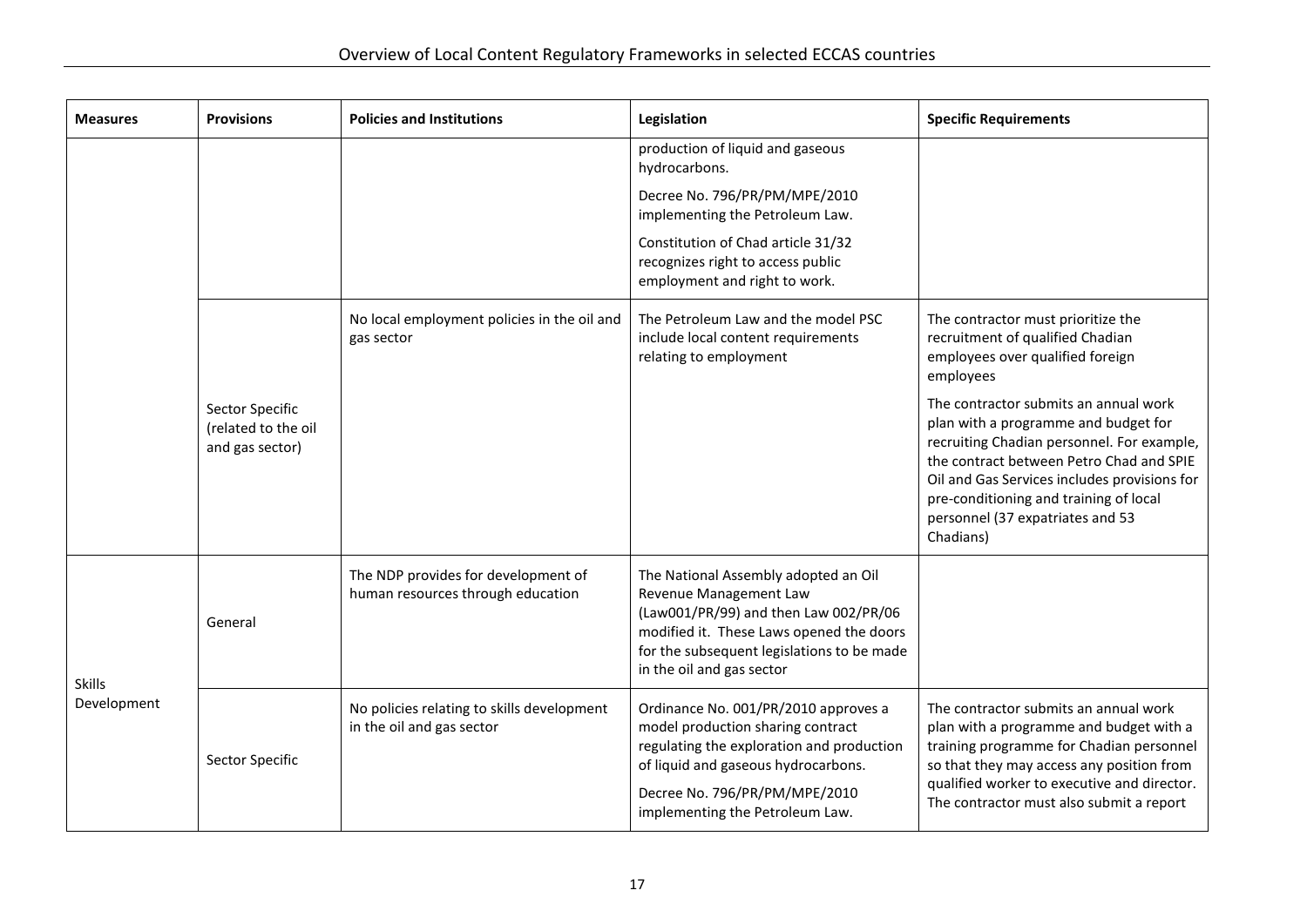| <b>Measures</b>              | <b>Provisions</b>                                         | <b>Policies and Institutions</b>                                         | Legislation                                                                                                                                                                                                                       | <b>Specific Requirements</b>                                                                                                                                                                                                                                                                                       |
|------------------------------|-----------------------------------------------------------|--------------------------------------------------------------------------|-----------------------------------------------------------------------------------------------------------------------------------------------------------------------------------------------------------------------------------|--------------------------------------------------------------------------------------------------------------------------------------------------------------------------------------------------------------------------------------------------------------------------------------------------------------------|
|                              |                                                           |                                                                          | production of liquid and gaseous<br>hydrocarbons.                                                                                                                                                                                 |                                                                                                                                                                                                                                                                                                                    |
|                              |                                                           |                                                                          | Decree No. 796/PR/PM/MPE/2010<br>implementing the Petroleum Law.                                                                                                                                                                  |                                                                                                                                                                                                                                                                                                                    |
|                              |                                                           |                                                                          | Constitution of Chad article 31/32<br>recognizes right to access public<br>employment and right to work.                                                                                                                          |                                                                                                                                                                                                                                                                                                                    |
|                              |                                                           | No local employment policies in the oil and<br>gas sector                | The Petroleum Law and the model PSC<br>include local content requirements<br>relating to employment                                                                                                                               | The contractor must prioritize the<br>recruitment of qualified Chadian<br>employees over qualified foreign<br>employees                                                                                                                                                                                            |
|                              | Sector Specific<br>(related to the oil<br>and gas sector) |                                                                          |                                                                                                                                                                                                                                   | The contractor submits an annual work<br>plan with a programme and budget for<br>recruiting Chadian personnel. For example,<br>the contract between Petro Chad and SPIE<br>Oil and Gas Services includes provisions for<br>pre-conditioning and training of local<br>personnel (37 expatriates and 53<br>Chadians) |
| <b>Skills</b><br>Development | General                                                   | The NDP provides for development of<br>human resources through education | The National Assembly adopted an Oil<br>Revenue Management Law<br>(Law001/PR/99) and then Law 002/PR/06<br>modified it. These Laws opened the doors<br>for the subsequent legislations to be made<br>in the oil and gas sector    |                                                                                                                                                                                                                                                                                                                    |
|                              | Sector Specific                                           | No policies relating to skills development<br>in the oil and gas sector  | Ordinance No. 001/PR/2010 approves a<br>model production sharing contract<br>regulating the exploration and production<br>of liquid and gaseous hydrocarbons.<br>Decree No. 796/PR/PM/MPE/2010<br>implementing the Petroleum Law. | The contractor submits an annual work<br>plan with a programme and budget with a<br>training programme for Chadian personnel<br>so that they may access any position from<br>qualified worker to executive and director.<br>The contractor must also submit a report                                               |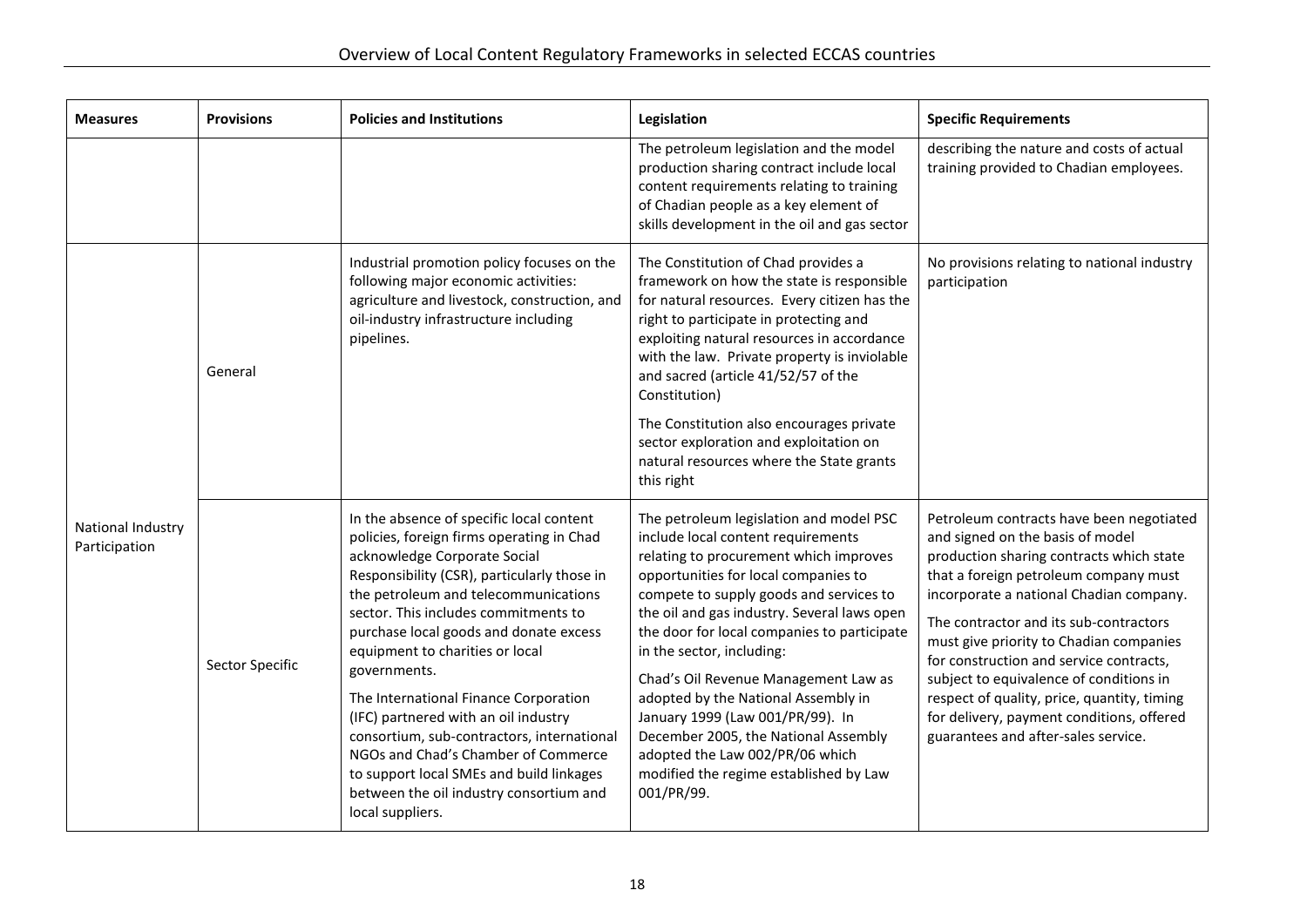| <b>Measures</b>                    | <b>Provisions</b> | <b>Policies and Institutions</b>                                                                                                                                                                                                                                                                                                                                                                                                                                                                                                                                                                                                   | Legislation                                                                                                                                                                                                                                                                                                                                                                                                                                                                                                                                                                                 | <b>Specific Requirements</b>                                                                                                                                                                                                                                                                                                                                                                                                                                                                                               |
|------------------------------------|-------------------|------------------------------------------------------------------------------------------------------------------------------------------------------------------------------------------------------------------------------------------------------------------------------------------------------------------------------------------------------------------------------------------------------------------------------------------------------------------------------------------------------------------------------------------------------------------------------------------------------------------------------------|---------------------------------------------------------------------------------------------------------------------------------------------------------------------------------------------------------------------------------------------------------------------------------------------------------------------------------------------------------------------------------------------------------------------------------------------------------------------------------------------------------------------------------------------------------------------------------------------|----------------------------------------------------------------------------------------------------------------------------------------------------------------------------------------------------------------------------------------------------------------------------------------------------------------------------------------------------------------------------------------------------------------------------------------------------------------------------------------------------------------------------|
|                                    |                   |                                                                                                                                                                                                                                                                                                                                                                                                                                                                                                                                                                                                                                    | The petroleum legislation and the model<br>production sharing contract include local<br>content requirements relating to training<br>of Chadian people as a key element of<br>skills development in the oil and gas sector                                                                                                                                                                                                                                                                                                                                                                  | describing the nature and costs of actual<br>training provided to Chadian employees.                                                                                                                                                                                                                                                                                                                                                                                                                                       |
|                                    | General           | Industrial promotion policy focuses on the<br>following major economic activities:<br>agriculture and livestock, construction, and<br>oil-industry infrastructure including<br>pipelines.                                                                                                                                                                                                                                                                                                                                                                                                                                          | The Constitution of Chad provides a<br>framework on how the state is responsible<br>for natural resources. Every citizen has the<br>right to participate in protecting and<br>exploiting natural resources in accordance<br>with the law. Private property is inviolable<br>and sacred (article 41/52/57 of the<br>Constitution)                                                                                                                                                                                                                                                            | No provisions relating to national industry<br>participation                                                                                                                                                                                                                                                                                                                                                                                                                                                               |
|                                    |                   |                                                                                                                                                                                                                                                                                                                                                                                                                                                                                                                                                                                                                                    | The Constitution also encourages private<br>sector exploration and exploitation on<br>natural resources where the State grants<br>this right                                                                                                                                                                                                                                                                                                                                                                                                                                                |                                                                                                                                                                                                                                                                                                                                                                                                                                                                                                                            |
| National Industry<br>Participation | Sector Specific   | In the absence of specific local content<br>policies, foreign firms operating in Chad<br>acknowledge Corporate Social<br>Responsibility (CSR), particularly those in<br>the petroleum and telecommunications<br>sector. This includes commitments to<br>purchase local goods and donate excess<br>equipment to charities or local<br>governments.<br>The International Finance Corporation<br>(IFC) partnered with an oil industry<br>consortium, sub-contractors, international<br>NGOs and Chad's Chamber of Commerce<br>to support local SMEs and build linkages<br>between the oil industry consortium and<br>local suppliers. | The petroleum legislation and model PSC<br>include local content requirements<br>relating to procurement which improves<br>opportunities for local companies to<br>compete to supply goods and services to<br>the oil and gas industry. Several laws open<br>the door for local companies to participate<br>in the sector, including:<br>Chad's Oil Revenue Management Law as<br>adopted by the National Assembly in<br>January 1999 (Law 001/PR/99). In<br>December 2005, the National Assembly<br>adopted the Law 002/PR/06 which<br>modified the regime established by Law<br>001/PR/99. | Petroleum contracts have been negotiated<br>and signed on the basis of model<br>production sharing contracts which state<br>that a foreign petroleum company must<br>incorporate a national Chadian company.<br>The contractor and its sub-contractors<br>must give priority to Chadian companies<br>for construction and service contracts,<br>subject to equivalence of conditions in<br>respect of quality, price, quantity, timing<br>for delivery, payment conditions, offered<br>guarantees and after-sales service. |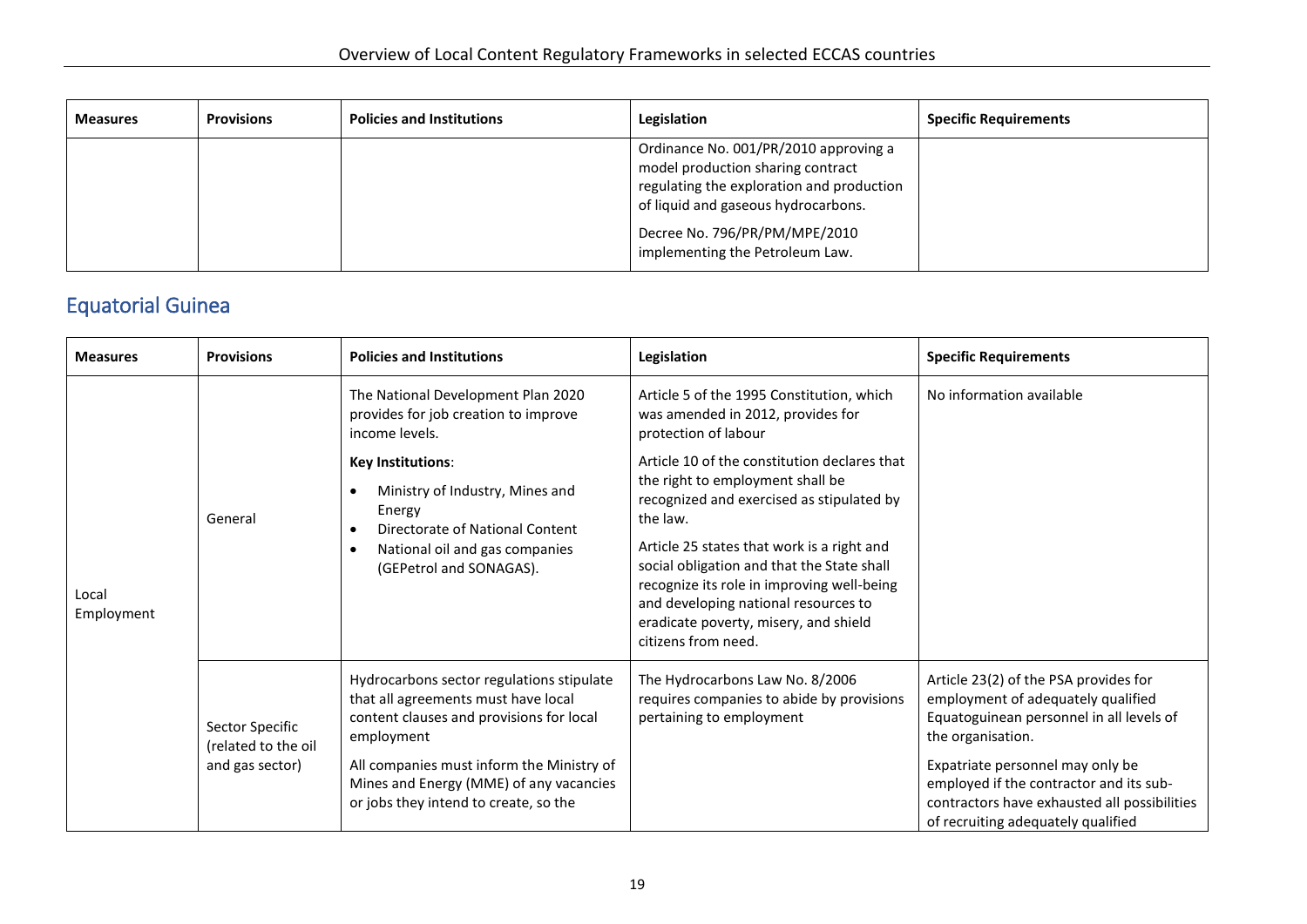| <b>Measures</b> | <b>Provisions</b> | <b>Policies and Institutions</b> | Legislation                                                                                                                                                                                                                        | <b>Specific Requirements</b> |
|-----------------|-------------------|----------------------------------|------------------------------------------------------------------------------------------------------------------------------------------------------------------------------------------------------------------------------------|------------------------------|
|                 |                   |                                  | Ordinance No. 001/PR/2010 approving a<br>model production sharing contract<br>regulating the exploration and production<br>of liquid and gaseous hydrocarbons.<br>Decree No. 796/PR/PM/MPE/2010<br>implementing the Petroleum Law. |                              |

### Equatorial Guinea

<span id="page-22-0"></span>

| <b>Measures</b>     | <b>Provisions</b>                                         | <b>Policies and Institutions</b>                                                                                                                                                                                                                                            | Legislation                                                                                                                                                                                                                                                                                                                                                                                 | <b>Specific Requirements</b>                                                                                                                                                                                                                                                                                      |
|---------------------|-----------------------------------------------------------|-----------------------------------------------------------------------------------------------------------------------------------------------------------------------------------------------------------------------------------------------------------------------------|---------------------------------------------------------------------------------------------------------------------------------------------------------------------------------------------------------------------------------------------------------------------------------------------------------------------------------------------------------------------------------------------|-------------------------------------------------------------------------------------------------------------------------------------------------------------------------------------------------------------------------------------------------------------------------------------------------------------------|
| Local<br>Employment | General                                                   | The National Development Plan 2020<br>provides for job creation to improve<br>income levels.                                                                                                                                                                                | Article 5 of the 1995 Constitution, which<br>was amended in 2012, provides for<br>protection of labour                                                                                                                                                                                                                                                                                      | No information available                                                                                                                                                                                                                                                                                          |
|                     |                                                           | <b>Key Institutions:</b><br>Ministry of Industry, Mines and<br>Energy<br>Directorate of National Content<br>National oil and gas companies<br>(GEPetrol and SONAGAS).                                                                                                       | Article 10 of the constitution declares that<br>the right to employment shall be<br>recognized and exercised as stipulated by<br>the law.<br>Article 25 states that work is a right and<br>social obligation and that the State shall<br>recognize its role in improving well-being<br>and developing national resources to<br>eradicate poverty, misery, and shield<br>citizens from need. |                                                                                                                                                                                                                                                                                                                   |
|                     | Sector Specific<br>(related to the oil<br>and gas sector) | Hydrocarbons sector regulations stipulate<br>that all agreements must have local<br>content clauses and provisions for local<br>employment<br>All companies must inform the Ministry of<br>Mines and Energy (MME) of any vacancies<br>or jobs they intend to create, so the | The Hydrocarbons Law No. 8/2006<br>requires companies to abide by provisions<br>pertaining to employment                                                                                                                                                                                                                                                                                    | Article 23(2) of the PSA provides for<br>employment of adequately qualified<br>Equatoguinean personnel in all levels of<br>the organisation.<br>Expatriate personnel may only be<br>employed if the contractor and its sub-<br>contractors have exhausted all possibilities<br>of recruiting adequately qualified |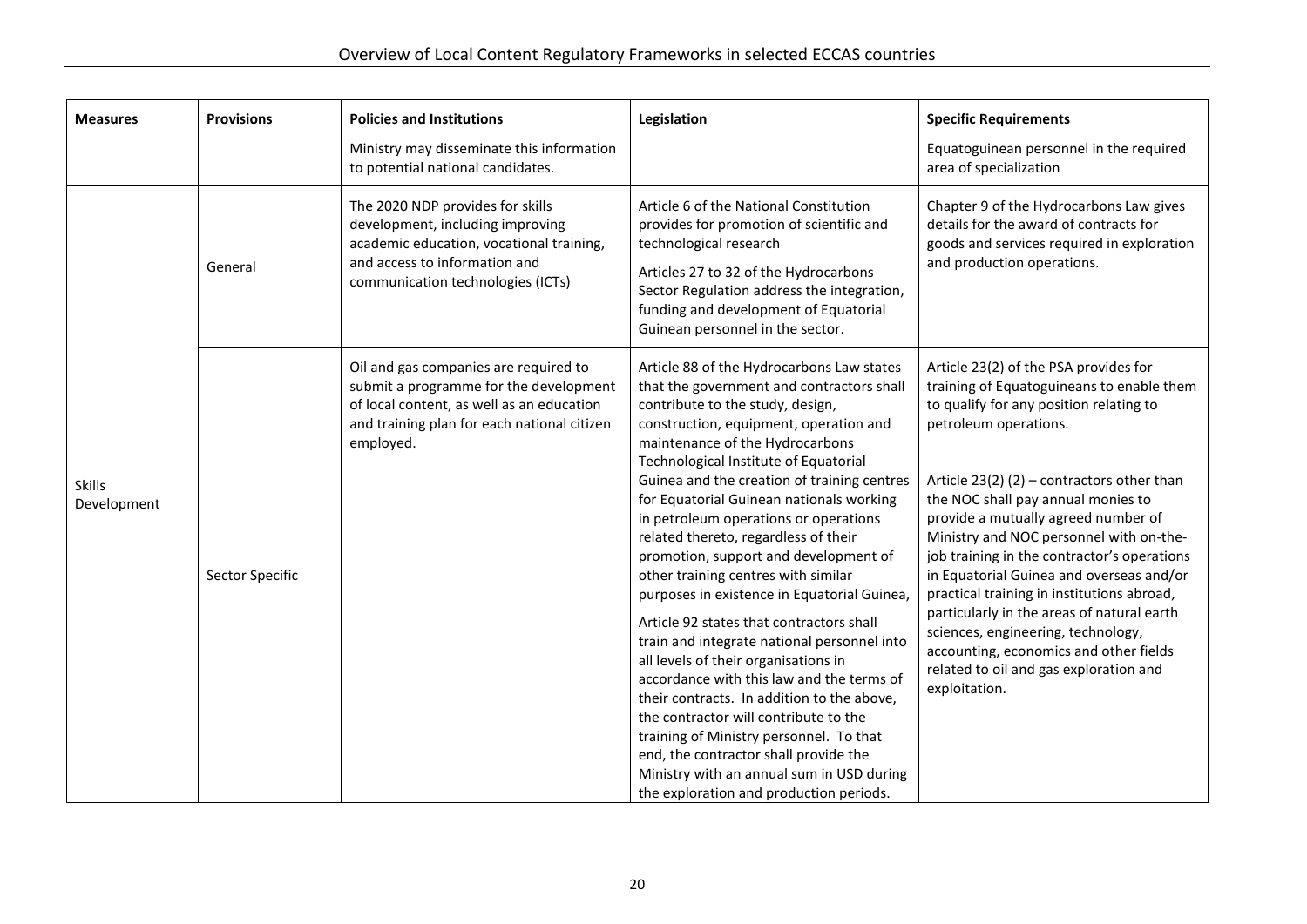| <b>Measures</b>              | <b>Provisions</b> | <b>Policies and Institutions</b>                                                                                                                                                         | Legislation                                                                                                                                                                                                                                                                                                                                                                                                                                                                                                                                                                                                                                                                                                                                                                                                                                                                                                                                                                                                    | <b>Specific Requirements</b>                                                                                                                                                                                                                                                                                                                                                                                                                                                                                                                                                                                                                                   |
|------------------------------|-------------------|------------------------------------------------------------------------------------------------------------------------------------------------------------------------------------------|----------------------------------------------------------------------------------------------------------------------------------------------------------------------------------------------------------------------------------------------------------------------------------------------------------------------------------------------------------------------------------------------------------------------------------------------------------------------------------------------------------------------------------------------------------------------------------------------------------------------------------------------------------------------------------------------------------------------------------------------------------------------------------------------------------------------------------------------------------------------------------------------------------------------------------------------------------------------------------------------------------------|----------------------------------------------------------------------------------------------------------------------------------------------------------------------------------------------------------------------------------------------------------------------------------------------------------------------------------------------------------------------------------------------------------------------------------------------------------------------------------------------------------------------------------------------------------------------------------------------------------------------------------------------------------------|
|                              |                   | Ministry may disseminate this information<br>to potential national candidates.                                                                                                           |                                                                                                                                                                                                                                                                                                                                                                                                                                                                                                                                                                                                                                                                                                                                                                                                                                                                                                                                                                                                                | Equatoguinean personnel in the required<br>area of specialization                                                                                                                                                                                                                                                                                                                                                                                                                                                                                                                                                                                              |
|                              | General           | The 2020 NDP provides for skills<br>development, including improving<br>academic education, vocational training,<br>and access to information and<br>communication technologies (ICTs)   | Article 6 of the National Constitution<br>provides for promotion of scientific and<br>technological research<br>Articles 27 to 32 of the Hydrocarbons<br>Sector Regulation address the integration,<br>funding and development of Equatorial<br>Guinean personnel in the sector.                                                                                                                                                                                                                                                                                                                                                                                                                                                                                                                                                                                                                                                                                                                               | Chapter 9 of the Hydrocarbons Law gives<br>details for the award of contracts for<br>goods and services required in exploration<br>and production operations.                                                                                                                                                                                                                                                                                                                                                                                                                                                                                                  |
| <b>Skills</b><br>Development | Sector Specific   | Oil and gas companies are required to<br>submit a programme for the development<br>of local content, as well as an education<br>and training plan for each national citizen<br>employed. | Article 88 of the Hydrocarbons Law states<br>that the government and contractors shall<br>contribute to the study, design,<br>construction, equipment, operation and<br>maintenance of the Hydrocarbons<br>Technological Institute of Equatorial<br>Guinea and the creation of training centres<br>for Equatorial Guinean nationals working<br>in petroleum operations or operations<br>related thereto, regardless of their<br>promotion, support and development of<br>other training centres with similar<br>purposes in existence in Equatorial Guinea,<br>Article 92 states that contractors shall<br>train and integrate national personnel into<br>all levels of their organisations in<br>accordance with this law and the terms of<br>their contracts. In addition to the above,<br>the contractor will contribute to the<br>training of Ministry personnel. To that<br>end, the contractor shall provide the<br>Ministry with an annual sum in USD during<br>the exploration and production periods. | Article 23(2) of the PSA provides for<br>training of Equatoguineans to enable them<br>to qualify for any position relating to<br>petroleum operations.<br>Article 23(2) (2) – contractors other than<br>the NOC shall pay annual monies to<br>provide a mutually agreed number of<br>Ministry and NOC personnel with on-the-<br>job training in the contractor's operations<br>in Equatorial Guinea and overseas and/or<br>practical training in institutions abroad,<br>particularly in the areas of natural earth<br>sciences, engineering, technology,<br>accounting, economics and other fields<br>related to oil and gas exploration and<br>exploitation. |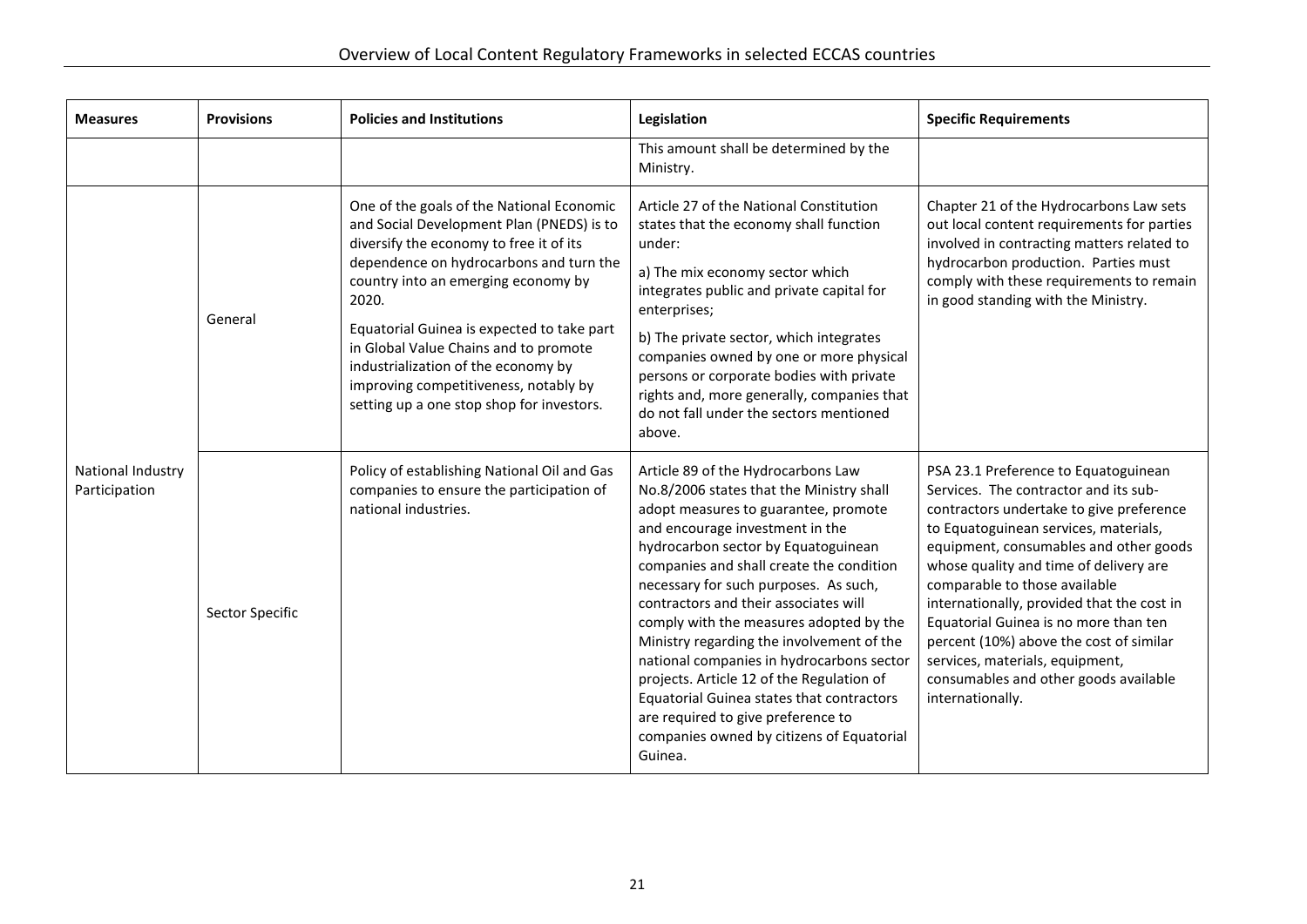| <b>Measures</b>                    | <b>Provisions</b> | <b>Policies and Institutions</b>                                                                                                                                                                                                                                                                                                                                                                                                                 | Legislation                                                                                                                                                                                                                                                                                                                                                                                                                                                                                                                                                                                                                                                 | <b>Specific Requirements</b>                                                                                                                                                                                                                                                                                                                                                                                                                                                                                              |
|------------------------------------|-------------------|--------------------------------------------------------------------------------------------------------------------------------------------------------------------------------------------------------------------------------------------------------------------------------------------------------------------------------------------------------------------------------------------------------------------------------------------------|-------------------------------------------------------------------------------------------------------------------------------------------------------------------------------------------------------------------------------------------------------------------------------------------------------------------------------------------------------------------------------------------------------------------------------------------------------------------------------------------------------------------------------------------------------------------------------------------------------------------------------------------------------------|---------------------------------------------------------------------------------------------------------------------------------------------------------------------------------------------------------------------------------------------------------------------------------------------------------------------------------------------------------------------------------------------------------------------------------------------------------------------------------------------------------------------------|
|                                    |                   |                                                                                                                                                                                                                                                                                                                                                                                                                                                  | This amount shall be determined by the<br>Ministry.                                                                                                                                                                                                                                                                                                                                                                                                                                                                                                                                                                                                         |                                                                                                                                                                                                                                                                                                                                                                                                                                                                                                                           |
| National Industry<br>Participation | General           | One of the goals of the National Economic<br>and Social Development Plan (PNEDS) is to<br>diversify the economy to free it of its<br>dependence on hydrocarbons and turn the<br>country into an emerging economy by<br>2020.<br>Equatorial Guinea is expected to take part<br>in Global Value Chains and to promote<br>industrialization of the economy by<br>improving competitiveness, notably by<br>setting up a one stop shop for investors. | Article 27 of the National Constitution<br>states that the economy shall function<br>under:<br>a) The mix economy sector which<br>integrates public and private capital for<br>enterprises;<br>b) The private sector, which integrates<br>companies owned by one or more physical<br>persons or corporate bodies with private<br>rights and, more generally, companies that<br>do not fall under the sectors mentioned<br>above.                                                                                                                                                                                                                            | Chapter 21 of the Hydrocarbons Law sets<br>out local content requirements for parties<br>involved in contracting matters related to<br>hydrocarbon production. Parties must<br>comply with these requirements to remain<br>in good standing with the Ministry.                                                                                                                                                                                                                                                            |
|                                    | Sector Specific   | Policy of establishing National Oil and Gas<br>companies to ensure the participation of<br>national industries.                                                                                                                                                                                                                                                                                                                                  | Article 89 of the Hydrocarbons Law<br>No.8/2006 states that the Ministry shall<br>adopt measures to guarantee, promote<br>and encourage investment in the<br>hydrocarbon sector by Equatoguinean<br>companies and shall create the condition<br>necessary for such purposes. As such,<br>contractors and their associates will<br>comply with the measures adopted by the<br>Ministry regarding the involvement of the<br>national companies in hydrocarbons sector<br>projects. Article 12 of the Regulation of<br>Equatorial Guinea states that contractors<br>are required to give preference to<br>companies owned by citizens of Equatorial<br>Guinea. | PSA 23.1 Preference to Equatoguinean<br>Services. The contractor and its sub-<br>contractors undertake to give preference<br>to Equatoguinean services, materials,<br>equipment, consumables and other goods<br>whose quality and time of delivery are<br>comparable to those available<br>internationally, provided that the cost in<br>Equatorial Guinea is no more than ten<br>percent (10%) above the cost of similar<br>services, materials, equipment,<br>consumables and other goods available<br>internationally. |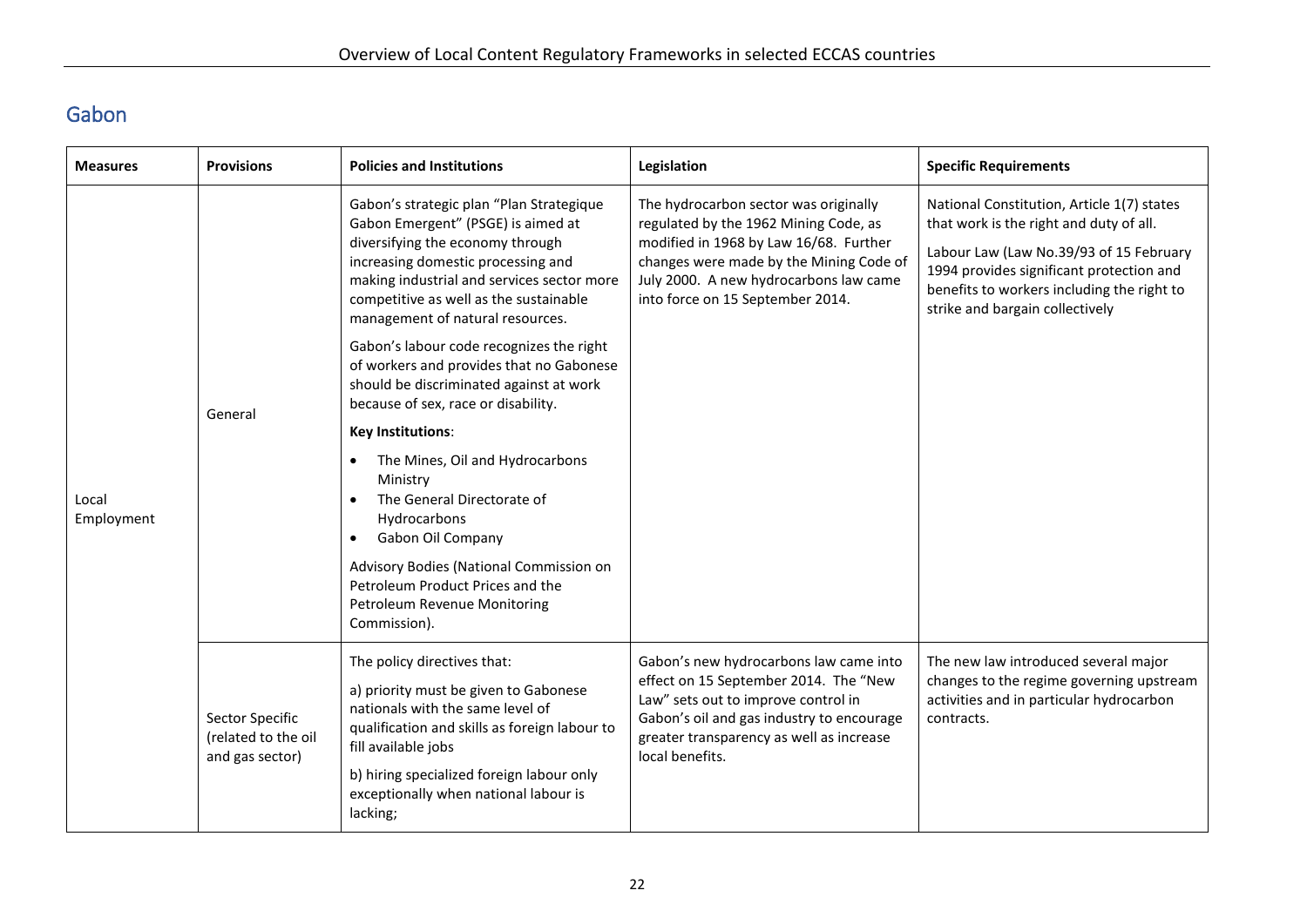# Gabon

<span id="page-25-0"></span>

| <b>Measures</b>     | <b>Provisions</b>                                         | <b>Policies and Institutions</b>                                                                                                                                                                                                                                                                                                                                                                                                                               | Legislation                                                                                                                                                                                                                                       | <b>Specific Requirements</b>                                                                                                                                                                                                                                  |
|---------------------|-----------------------------------------------------------|----------------------------------------------------------------------------------------------------------------------------------------------------------------------------------------------------------------------------------------------------------------------------------------------------------------------------------------------------------------------------------------------------------------------------------------------------------------|---------------------------------------------------------------------------------------------------------------------------------------------------------------------------------------------------------------------------------------------------|---------------------------------------------------------------------------------------------------------------------------------------------------------------------------------------------------------------------------------------------------------------|
| Local<br>Employment | General                                                   | Gabon's strategic plan "Plan Strategique<br>Gabon Emergent" (PSGE) is aimed at<br>diversifying the economy through<br>increasing domestic processing and<br>making industrial and services sector more<br>competitive as well as the sustainable<br>management of natural resources.<br>Gabon's labour code recognizes the right<br>of workers and provides that no Gabonese<br>should be discriminated against at work<br>because of sex, race or disability. | The hydrocarbon sector was originally<br>regulated by the 1962 Mining Code, as<br>modified in 1968 by Law 16/68. Further<br>changes were made by the Mining Code of<br>July 2000. A new hydrocarbons law came<br>into force on 15 September 2014. | National Constitution, Article 1(7) states<br>that work is the right and duty of all.<br>Labour Law (Law No.39/93 of 15 February<br>1994 provides significant protection and<br>benefits to workers including the right to<br>strike and bargain collectively |
|                     |                                                           | <b>Key Institutions:</b><br>The Mines, Oil and Hydrocarbons<br>$\bullet$<br>Ministry<br>The General Directorate of<br>$\bullet$<br>Hydrocarbons<br>Gabon Oil Company<br>$\bullet$<br>Advisory Bodies (National Commission on<br>Petroleum Product Prices and the<br>Petroleum Revenue Monitoring<br>Commission).                                                                                                                                               |                                                                                                                                                                                                                                                   |                                                                                                                                                                                                                                                               |
|                     | Sector Specific<br>(related to the oil<br>and gas sector) | The policy directives that:<br>a) priority must be given to Gabonese<br>nationals with the same level of<br>qualification and skills as foreign labour to<br>fill available jobs<br>b) hiring specialized foreign labour only<br>exceptionally when national labour is<br>lacking;                                                                                                                                                                             | Gabon's new hydrocarbons law came into<br>effect on 15 September 2014. The "New<br>Law" sets out to improve control in<br>Gabon's oil and gas industry to encourage<br>greater transparency as well as increase<br>local benefits.                | The new law introduced several major<br>changes to the regime governing upstream<br>activities and in particular hydrocarbon<br>contracts.                                                                                                                    |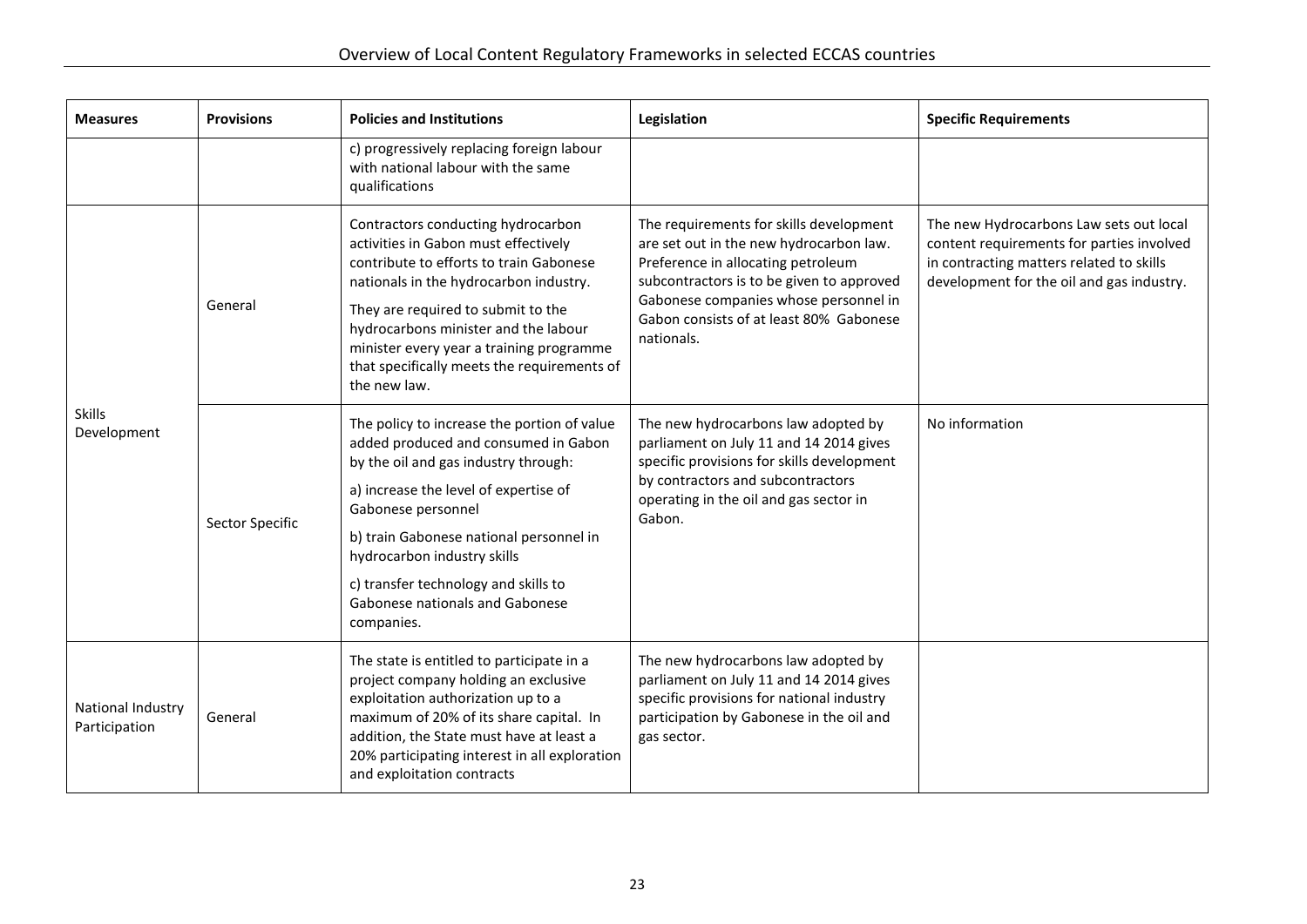| <b>Measures</b>                    | <b>Provisions</b> | <b>Policies and Institutions</b>                                                                                                                                                                                                                                                              | Legislation                                                                                                                                                                                                                                                             | <b>Specific Requirements</b>                                                                                                                                                  |
|------------------------------------|-------------------|-----------------------------------------------------------------------------------------------------------------------------------------------------------------------------------------------------------------------------------------------------------------------------------------------|-------------------------------------------------------------------------------------------------------------------------------------------------------------------------------------------------------------------------------------------------------------------------|-------------------------------------------------------------------------------------------------------------------------------------------------------------------------------|
|                                    |                   | c) progressively replacing foreign labour<br>with national labour with the same<br>qualifications                                                                                                                                                                                             |                                                                                                                                                                                                                                                                         |                                                                                                                                                                               |
| <b>Skills</b><br>Development       | General           | Contractors conducting hydrocarbon<br>activities in Gabon must effectively<br>contribute to efforts to train Gabonese<br>nationals in the hydrocarbon industry.                                                                                                                               | The requirements for skills development<br>are set out in the new hydrocarbon law.<br>Preference in allocating petroleum<br>subcontractors is to be given to approved<br>Gabonese companies whose personnel in<br>Gabon consists of at least 80% Gabonese<br>nationals. | The new Hydrocarbons Law sets out local<br>content requirements for parties involved<br>in contracting matters related to skills<br>development for the oil and gas industry. |
|                                    |                   | They are required to submit to the<br>hydrocarbons minister and the labour<br>minister every year a training programme<br>that specifically meets the requirements of<br>the new law.                                                                                                         |                                                                                                                                                                                                                                                                         |                                                                                                                                                                               |
|                                    | Sector Specific   | The policy to increase the portion of value<br>added produced and consumed in Gabon<br>by the oil and gas industry through:                                                                                                                                                                   | The new hydrocarbons law adopted by<br>parliament on July 11 and 14 2014 gives<br>specific provisions for skills development<br>by contractors and subcontractors<br>operating in the oil and gas sector in<br>Gabon.                                                   | No information                                                                                                                                                                |
|                                    |                   | a) increase the level of expertise of<br>Gabonese personnel                                                                                                                                                                                                                                   |                                                                                                                                                                                                                                                                         |                                                                                                                                                                               |
|                                    |                   | b) train Gabonese national personnel in<br>hydrocarbon industry skills                                                                                                                                                                                                                        |                                                                                                                                                                                                                                                                         |                                                                                                                                                                               |
|                                    |                   | c) transfer technology and skills to<br>Gabonese nationals and Gabonese<br>companies.                                                                                                                                                                                                         |                                                                                                                                                                                                                                                                         |                                                                                                                                                                               |
| National Industry<br>Participation | General           | The state is entitled to participate in a<br>project company holding an exclusive<br>exploitation authorization up to a<br>maximum of 20% of its share capital. In<br>addition, the State must have at least a<br>20% participating interest in all exploration<br>and exploitation contracts | The new hydrocarbons law adopted by<br>parliament on July 11 and 14 2014 gives<br>specific provisions for national industry<br>participation by Gabonese in the oil and<br>gas sector.                                                                                  |                                                                                                                                                                               |